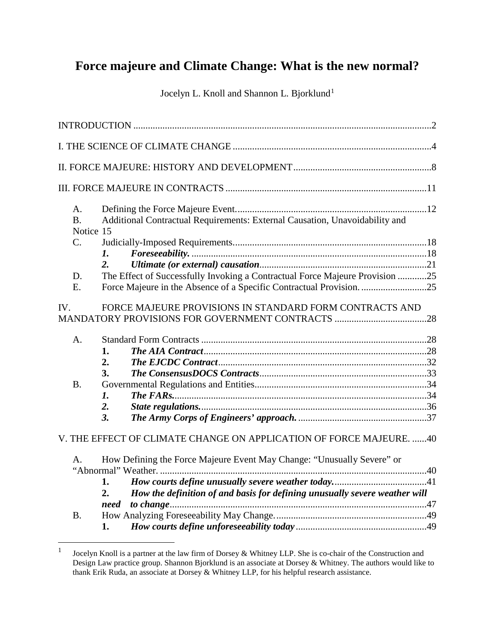# **Force majeure and Climate Change: What is the new normal?**

Jocelyn L. Knoll and Shannon L. Bjorklund<sup>[1](#page-0-0)</sup>

| A.<br><b>B.</b><br>Notice 15 |                | Additional Contractual Requirements: External Causation, Unavoidability and  |  |
|------------------------------|----------------|------------------------------------------------------------------------------|--|
| C.                           | $\mathbf{I}$ . |                                                                              |  |
|                              | 2.             |                                                                              |  |
| D.                           |                | The Effect of Successfully Invoking a Contractual Force Majeure Provision 25 |  |
| E.                           |                |                                                                              |  |
|                              |                |                                                                              |  |
| IV.                          |                | FORCE MAJEURE PROVISIONS IN STANDARD FORM CONTRACTS AND                      |  |
|                              |                |                                                                              |  |
| A.                           |                |                                                                              |  |
|                              | 1.             |                                                                              |  |
|                              | 2.             |                                                                              |  |
|                              | 3.             |                                                                              |  |
| <b>B.</b>                    |                |                                                                              |  |
|                              | 1.             |                                                                              |  |
|                              | 2.             |                                                                              |  |
|                              | 3.             |                                                                              |  |
|                              |                | V. THE EFFECT OF CLIMATE CHANGE ON APPLICATION OF FORCE MAJEURE. 40          |  |
| A.                           |                | How Defining the Force Majeure Event May Change: "Unusually Severe" or       |  |
|                              |                |                                                                              |  |
|                              | 1.             |                                                                              |  |
|                              | 2.             | How the definition of and basis for defining unusually severe weather will   |  |
|                              | need           |                                                                              |  |
| <b>B.</b>                    |                |                                                                              |  |
|                              | 1.             |                                                                              |  |

<span id="page-0-0"></span> <sup>1</sup> Jocelyn Knoll is a partner at the law firm of Dorsey & Whitney LLP. She is co-chair of the Construction and Design Law practice group. Shannon Bjorklund is an associate at Dorsey & Whitney. The authors would like to thank Erik Ruda, an associate at Dorsey & Whitney LLP, for his helpful research assistance.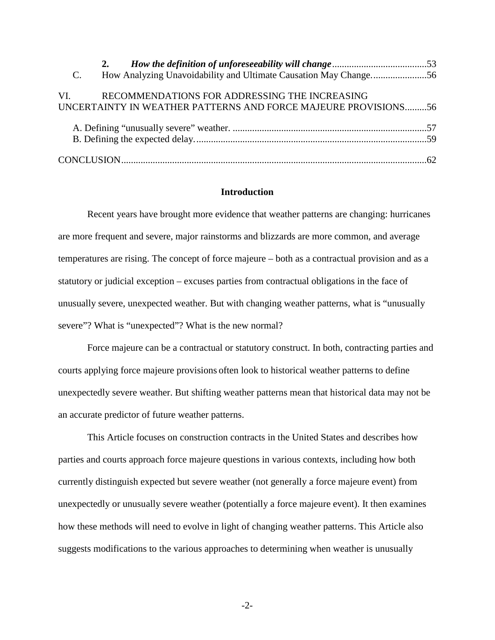| $C_{\cdot}$ |                                                                |  |
|-------------|----------------------------------------------------------------|--|
|             | VI. RECOMMENDATIONS FOR ADDRESSING THE INCREASING              |  |
|             | UNCERTAINTY IN WEATHER PATTERNS AND FORCE MAJEURE PROVISIONS56 |  |
|             |                                                                |  |
|             |                                                                |  |
|             |                                                                |  |

#### **Introduction**

<span id="page-1-0"></span>Recent years have brought more evidence that weather patterns are changing: hurricanes are more frequent and severe, major rainstorms and blizzards are more common, and average temperatures are rising. The concept of force majeure – both as a contractual provision and as a statutory or judicial exception – excuses parties from contractual obligations in the face of unusually severe, unexpected weather. But with changing weather patterns, what is "unusually severe"? What is "unexpected"? What is the new normal?

Force majeure can be a contractual or statutory construct. In both, contracting parties and courts applying force majeure provisions often look to historical weather patterns to define unexpectedly severe weather. But shifting weather patterns mean that historical data may not be an accurate predictor of future weather patterns.

This Article focuses on construction contracts in the United States and describes how parties and courts approach force majeure questions in various contexts, including how both currently distinguish expected but severe weather (not generally a force majeure event) from unexpectedly or unusually severe weather (potentially a force majeure event). It then examines how these methods will need to evolve in light of changing weather patterns. This Article also suggests modifications to the various approaches to determining when weather is unusually

-2-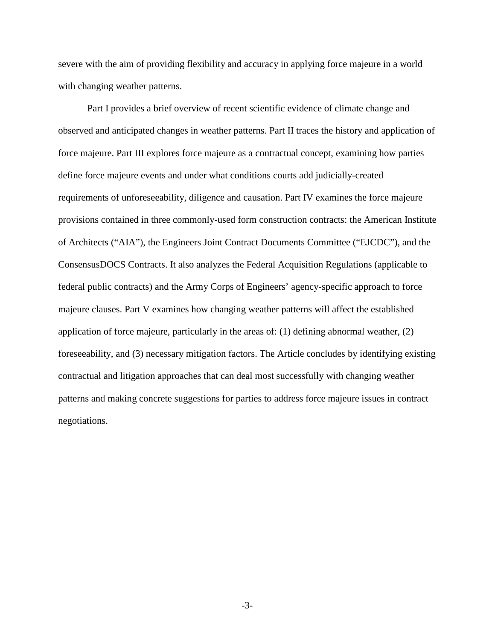severe with the aim of providing flexibility and accuracy in applying force majeure in a world with changing weather patterns.

Part I provides a brief overview of recent scientific evidence of climate change and observed and anticipated changes in weather patterns. Part II traces the history and application of force majeure. Part III explores force majeure as a contractual concept, examining how parties define force majeure events and under what conditions courts add judicially-created requirements of unforeseeability, diligence and causation. Part IV examines the force majeure provisions contained in three commonly-used form construction contracts: the American Institute of Architects ("AIA"), the Engineers Joint Contract Documents Committee ("EJCDC"), and the ConsensusDOCS Contracts. It also analyzes the Federal Acquisition Regulations (applicable to federal public contracts) and the Army Corps of Engineers' agency-specific approach to force majeure clauses. Part V examines how changing weather patterns will affect the established application of force majeure, particularly in the areas of: (1) defining abnormal weather, (2) foreseeability, and (3) necessary mitigation factors. The Article concludes by identifying existing contractual and litigation approaches that can deal most successfully with changing weather patterns and making concrete suggestions for parties to address force majeure issues in contract negotiations.

-3-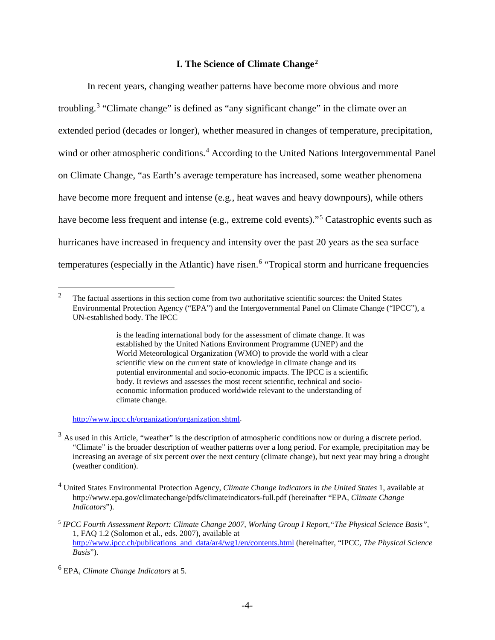# **I. The Science of Climate Change[2](#page-3-1)**

<span id="page-3-0"></span>In recent years, changing weather patterns have become more obvious and more troubling.<sup>[3](#page-3-2)</sup> "Climate change" is defined as "any significant change" in the climate over an extended period (decades or longer), whether measured in changes of temperature, precipitation, wind or other atmospheric conditions.<sup>[4](#page-3-3)</sup> According to the United Nations Intergovernmental Panel on Climate Change, "as Earth's average temperature has increased, some weather phenomena have become more frequent and intense (e.g., heat waves and heavy downpours), while others have become less frequent and intense (e.g., extreme cold events)."[5](#page-3-4) Catastrophic events such as hurricanes have increased in frequency and intensity over the past 20 years as the sea surface temperatures (especially in the Atlantic) have risen.<sup>[6](#page-3-5)</sup> "Tropical storm and hurricane frequencies

[http://www.ipcc.ch/organization/organization.shtml.](http://www.ipcc.ch/organization/organization.shtml)

<span id="page-3-1"></span><sup>&</sup>lt;sup>2</sup> The factual assertions in this section come from two authoritative scientific sources: the United States Environmental Protection Agency ("EPA") and the Intergovernmental Panel on Climate Change ("IPCC"), a UN-established body. The IPCC

is the leading international body for the assessment of climate change. It was established by the United Nations Environment Programme (UNEP) and the World Meteorological Organization (WMO) to provide the world with a clear scientific view on the current state of knowledge in climate change and its potential environmental and socio-economic impacts. The IPCC is a scientific body. It reviews and assesses the most recent scientific, technical and socioeconomic information produced worldwide relevant to the understanding of climate change.

<span id="page-3-2"></span> $3$  As used in this Article, "weather" is the description of atmospheric conditions now or during a discrete period. "Climate" is the broader description of weather patterns over a long period. For example, precipitation may be increasing an average of six percent over the next century (climate change), but next year may bring a drought (weather condition).

<span id="page-3-3"></span><sup>4</sup> United States Environmental Protection Agency, *Climate Change Indicators in the United States* 1, available at http://www.epa.gov/climatechange/pdfs/climateindicators-full.pdf (hereinafter "EPA, *Climate Change Indicators*").

<span id="page-3-4"></span><sup>5</sup> *IPCC Fourth Assessment Report: Climate Change 2007, Working Group I Report,"The Physical Science Basis"*, 1, FAQ 1.2 (Solomon et al., eds. 2007), available at [http://www.ipcc.ch/publications\\_and\\_data/ar4/wg1/en/contents.html](http://www.ipcc.ch/publications_and_data/ar4/wg1/en/contents.html) (hereinafter, "IPCC, *The Physical Science Basis*").

<span id="page-3-5"></span><sup>6</sup> EPA, *Climate Change Indicators* at 5.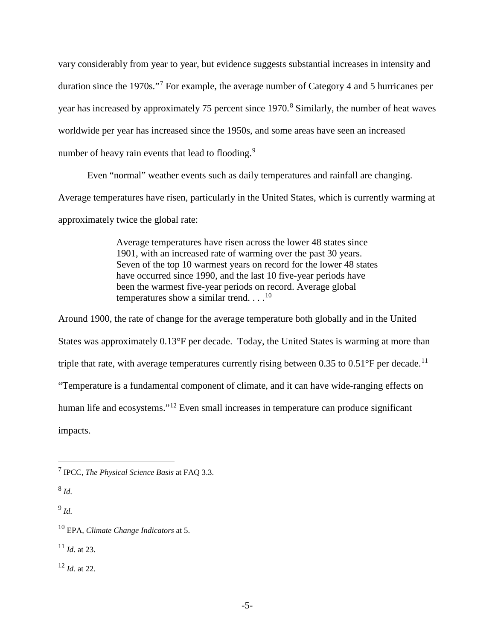vary considerably from year to year, but evidence suggests substantial increases in intensity and duration since the 1970s."[7](#page-4-0) For example, the average number of Category 4 and 5 hurricanes per year has increased by approximately 75 percent since 1970.<sup>[8](#page-4-1)</sup> Similarly, the number of heat waves worldwide per year has increased since the 1950s, and some areas have seen an increased number of heavy rain events that lead to flooding.<sup>[9](#page-4-2)</sup>

Even "normal" weather events such as daily temperatures and rainfall are changing.

Average temperatures have risen, particularly in the United States, which is currently warming at

approximately twice the global rate:

Average temperatures have risen across the lower 48 states since 1901, with an increased rate of warming over the past 30 years. Seven of the top 10 warmest years on record for the lower 48 states have occurred since 1990, and the last 10 five-year periods have been the warmest five-year periods on record. Average global temperatures show a similar trend.  $\dots$ <sup>[10](#page-4-3)</sup>

Around 1900, the rate of change for the average temperature both globally and in the United States was approximately 0.13°F per decade. Today, the United States is warming at more than triple that rate, with average temperatures currently rising between 0.35 to  $0.51^{\circ}$ F per decade.<sup>[11](#page-4-4)</sup> "Temperature is a fundamental component of climate, and it can have wide-ranging effects on human life and ecosystems."<sup>[12](#page-4-5)</sup> Even small increases in temperature can produce significant impacts.

<span id="page-4-1"></span><sup>8</sup> *Id.*

<span id="page-4-2"></span><sup>9</sup> *Id.*

<span id="page-4-4"></span><sup>11</sup> *Id.* at 23.

<span id="page-4-5"></span><sup>12</sup> *Id.* at 22.

<span id="page-4-0"></span> <sup>7</sup> IPCC, *The Physical Science Basis* at FAQ 3.3.

<span id="page-4-3"></span><sup>10</sup> EPA, *Climate Change Indicators* at 5.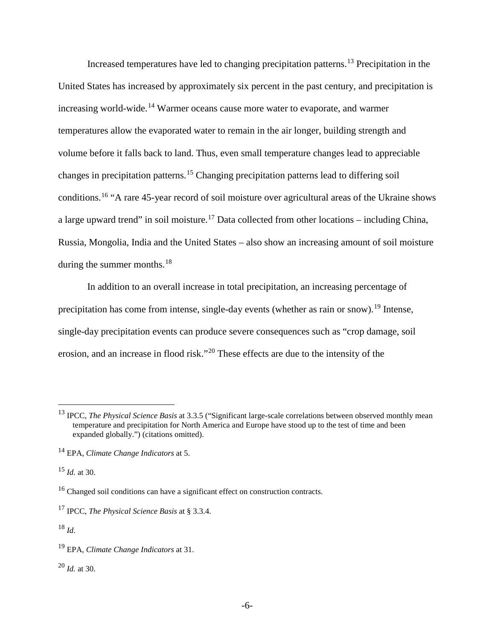Increased temperatures have led to changing precipitation patterns.[13](#page-5-0) Precipitation in the United States has increased by approximately six percent in the past century, and precipitation is increasing world-wide. [14](#page-5-1) Warmer oceans cause more water to evaporate, and warmer temperatures allow the evaporated water to remain in the air longer, building strength and volume before it falls back to land. Thus, even small temperature changes lead to appreciable changes in precipitation patterns.[15](#page-5-2) Changing precipitation patterns lead to differing soil conditions.[16](#page-5-3) "A rare 45-year record of soil moisture over agricultural areas of the Ukraine shows a large upward trend" in soil moisture.<sup>[17](#page-5-4)</sup> Data collected from other locations – including China, Russia, Mongolia, India and the United States – also show an increasing amount of soil moisture during the summer months. $18$ 

In addition to an overall increase in total precipitation, an increasing percentage of precipitation has come from intense, single-day events (whether as rain or snow).<sup>[19](#page-5-6)</sup> Intense, single-day precipitation events can produce severe consequences such as "crop damage, soil erosion, and an increase in flood risk."[20](#page-5-7) These effects are due to the intensity of the

<span id="page-5-2"></span><sup>15</sup> *Id.* at 30.

<span id="page-5-5"></span><sup>18</sup> *Id*.

<span id="page-5-7"></span><sup>20</sup> *Id.* at 30.

<span id="page-5-0"></span> <sup>13</sup> IPCC, *The Physical Science Basis* at 3.3.5 ("Significant large-scale correlations between observed monthly mean temperature and precipitation for North America and Europe have stood up to the test of time and been expanded globally.") (citations omitted).

<span id="page-5-1"></span><sup>14</sup> EPA, *Climate Change Indicators* at 5.

<span id="page-5-3"></span><sup>&</sup>lt;sup>16</sup> Changed soil conditions can have a significant effect on construction contracts.

<span id="page-5-4"></span><sup>17</sup> IPCC, *The Physical Science Basis* at § 3.3.4.

<span id="page-5-6"></span><sup>19</sup> EPA, *Climate Change Indicators* at 31.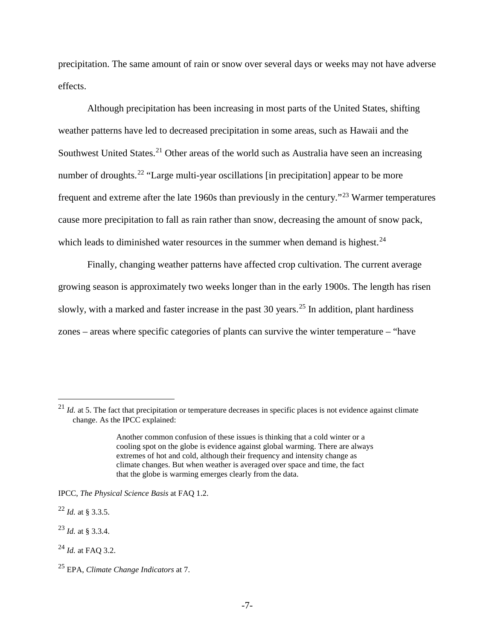precipitation. The same amount of rain or snow over several days or weeks may not have adverse effects.

Although precipitation has been increasing in most parts of the United States, shifting weather patterns have led to decreased precipitation in some areas, such as Hawaii and the Southwest United States.<sup>[21](#page-6-0)</sup> Other areas of the world such as Australia have seen an increasing number of droughts.<sup>[22](#page-6-1)</sup> "Large multi-year oscillations [in precipitation] appear to be more frequent and extreme after the late 1960s than previously in the century."[23](#page-6-2) Warmer temperatures cause more precipitation to fall as rain rather than snow, decreasing the amount of snow pack, which leads to diminished water resources in the summer when demand is highest.<sup>[24](#page-6-3)</sup>

Finally, changing weather patterns have affected crop cultivation. The current average growing season is approximately two weeks longer than in the early 1900s. The length has risen slowly, with a marked and faster increase in the past 30 years.<sup>[25](#page-6-4)</sup> In addition, plant hardiness zones – areas where specific categories of plants can survive the winter temperature – "have

<span id="page-6-2"></span><sup>23</sup> *Id.* at § 3.3.4.

<span id="page-6-0"></span> $^{21}$  *Id.* at 5. The fact that precipitation or temperature decreases in specific places is not evidence against climate change. As the IPCC explained:

Another common confusion of these issues is thinking that a cold winter or a cooling spot on the globe is evidence against global warming. There are always extremes of hot and cold, although their frequency and intensity change as climate changes. But when weather is averaged over space and time, the fact that the globe is warming emerges clearly from the data.

IPCC, *The Physical Science Basis* at FAQ 1.2.

<span id="page-6-1"></span><sup>22</sup> *Id.* at § 3.3.5.

<span id="page-6-3"></span><sup>24</sup> *Id.* at FAQ 3.2.

<span id="page-6-4"></span><sup>25</sup> EPA, *Climate Change Indicators* at 7.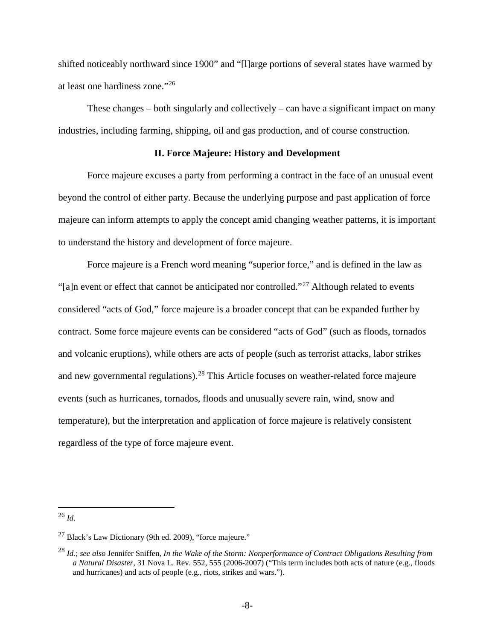shifted noticeably northward since 1900" and "[l]arge portions of several states have warmed by at least one hardiness zone."[26](#page-7-1)

These changes – both singularly and collectively – can have a significant impact on many industries, including farming, shipping, oil and gas production, and of course construction.

#### **II. Force Majeure: History and Development**

<span id="page-7-0"></span>Force majeure excuses a party from performing a contract in the face of an unusual event beyond the control of either party. Because the underlying purpose and past application of force majeure can inform attempts to apply the concept amid changing weather patterns, it is important to understand the history and development of force majeure.

Force majeure is a French word meaning "superior force," and is defined in the law as "[a]n event or effect that cannot be anticipated nor controlled."[27](#page-7-2) Although related to events considered "acts of God," force majeure is a broader concept that can be expanded further by contract. Some force majeure events can be considered "acts of God" (such as floods, tornados and volcanic eruptions), while others are acts of people (such as terrorist attacks, labor strikes and new governmental regulations).<sup>[28](#page-7-3)</sup> This Article focuses on weather-related force majeure events (such as hurricanes, tornados, floods and unusually severe rain, wind, snow and temperature), but the interpretation and application of force majeure is relatively consistent regardless of the type of force majeure event.

<span id="page-7-1"></span> <sup>26</sup> *Id.*

<span id="page-7-2"></span><sup>27</sup> Black's Law Dictionary (9th ed. 2009), "force majeure."

<span id="page-7-3"></span><sup>28</sup> *Id.*; *see also* Jennifer Sniffen, *In the Wake of the Storm: Nonperformance of Contract Obligations Resulting from a Natural Disaster*, 31 Nova L. Rev. 552, 555 (2006-2007) ("This term includes both acts of nature (e.g., floods and hurricanes) and acts of people (e.g., riots, strikes and wars.").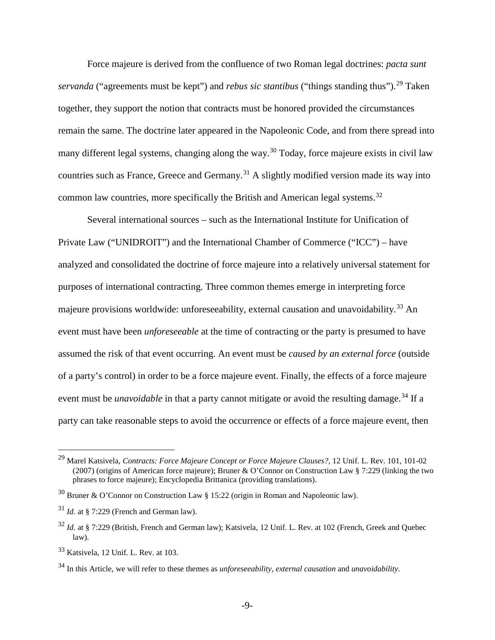Force majeure is derived from the confluence of two Roman legal doctrines: *pacta sunt servanda* ("agreements must be kept") and *rebus sic stantibus* ("things standing thus").<sup>[29](#page-8-0)</sup> Taken together, they support the notion that contracts must be honored provided the circumstances remain the same. The doctrine later appeared in the Napoleonic Code, and from there spread into many different legal systems, changing along the way.<sup>[30](#page-8-1)</sup> Today, force majeure exists in civil law countries such as France, Greece and Germany.<sup>[31](#page-8-2)</sup> A slightly modified version made its way into common law countries, more specifically the British and American legal systems.<sup>[32](#page-8-3)</sup>

Several international sources – such as the International Institute for Unification of Private Law ("UNIDROIT") and the International Chamber of Commerce ("ICC") – have analyzed and consolidated the doctrine of force majeure into a relatively universal statement for purposes of international contracting. Three common themes emerge in interpreting force majeure provisions worldwide: unforeseeability, external causation and unavoidability.<sup>[33](#page-8-4)</sup> An event must have been *unforeseeable* at the time of contracting or the party is presumed to have assumed the risk of that event occurring. An event must be *caused by an external force* (outside of a party's control) in order to be a force majeure event. Finally, the effects of a force majeure event must be *unavoidable* in that a party cannot mitigate or avoid the resulting damage.<sup>[34](#page-8-5)</sup> If a party can take reasonable steps to avoid the occurrence or effects of a force majeure event, then

<span id="page-8-0"></span> <sup>29</sup> Marel Katsivela, *Contracts: Force Majeure Concept or Force Majeure Clauses?*, 12 Unif. L. Rev. 101, 101-02 (2007) (origins of American force majeure); Bruner & O'Connor on Construction Law § 7:229 (linking the two phrases to force majeure); Encyclopedia Brittanica (providing translations).

<span id="page-8-1"></span> $30$  Bruner & O'Connor on Construction Law § 15:22 (origin in Roman and Napoleonic law).

<span id="page-8-2"></span> $31$  *Id.* at § 7:229 (French and German law).

<span id="page-8-3"></span><sup>32</sup> *Id.* at § 7:229 (British, French and German law); Katsivela, 12 Unif. L. Rev. at 102 (French, Greek and Quebec law).

<span id="page-8-4"></span><sup>33</sup> Katsivela, 12 Unif. L. Rev. at 103.

<span id="page-8-5"></span><sup>34</sup> In this Article, we will refer to these themes as *unforeseeability, external causation* and *unavoidability*.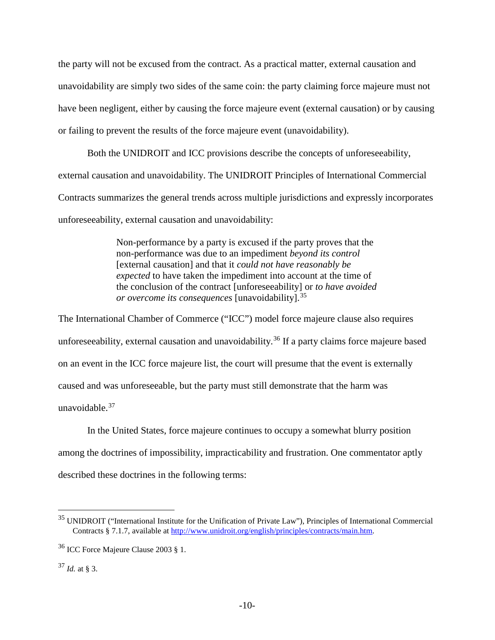the party will not be excused from the contract. As a practical matter, external causation and unavoidability are simply two sides of the same coin: the party claiming force majeure must not have been negligent, either by causing the force majeure event (external causation) or by causing or failing to prevent the results of the force majeure event (unavoidability).

Both the UNIDROIT and ICC provisions describe the concepts of unforeseeability, external causation and unavoidability. The UNIDROIT Principles of International Commercial Contracts summarizes the general trends across multiple jurisdictions and expressly incorporates unforeseeability, external causation and unavoidability:

> Non-performance by a party is excused if the party proves that the non-performance was due to an impediment *beyond its control* [external causation] and that it *could not have reasonably be expected* to have taken the impediment into account at the time of the conclusion of the contract [unforeseeability] or *to have avoided or overcome its consequences* [unavoidability].[35](#page-9-0)

The International Chamber of Commerce ("ICC") model force majeure clause also requires unforeseeability, external causation and unavoidability.<sup>[36](#page-9-1)</sup> If a party claims force majeure based on an event in the ICC force majeure list, the court will presume that the event is externally caused and was unforeseeable, but the party must still demonstrate that the harm was unavoidable. $37$ 

In the United States, force majeure continues to occupy a somewhat blurry position among the doctrines of impossibility, impracticability and frustration. One commentator aptly described these doctrines in the following terms:

<span id="page-9-0"></span> <sup>35</sup> UNIDROIT ("International Institute for the Unification of Private Law"), Principles of International Commercial Contracts § 7.1.7, available a[t http://www.unidroit.org/english/principles/contracts/main.htm.](http://www.unidroit.org/english/principles/contracts/main.htm)

<span id="page-9-1"></span><sup>36</sup> ICC Force Majeure Clause 2003 § 1.

<span id="page-9-2"></span><sup>37</sup> *Id.* at § 3.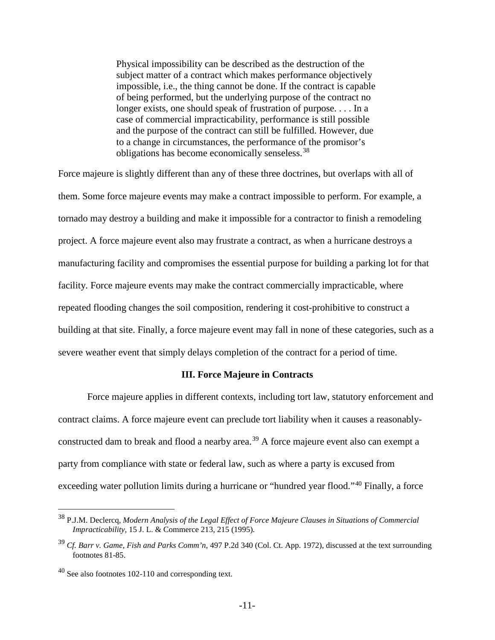Physical impossibility can be described as the destruction of the subject matter of a contract which makes performance objectively impossible, i.e., the thing cannot be done. If the contract is capable of being performed, but the underlying purpose of the contract no longer exists, one should speak of frustration of purpose. . . . In a case of commercial impracticability, performance is still possible and the purpose of the contract can still be fulfilled. However, due to a change in circumstances, the performance of the promisor's obligations has become economically senseless.[38](#page-10-1)

Force majeure is slightly different than any of these three doctrines, but overlaps with all of them. Some force majeure events may make a contract impossible to perform. For example, a tornado may destroy a building and make it impossible for a contractor to finish a remodeling project. A force majeure event also may frustrate a contract, as when a hurricane destroys a manufacturing facility and compromises the essential purpose for building a parking lot for that facility. Force majeure events may make the contract commercially impracticable, where repeated flooding changes the soil composition, rendering it cost-prohibitive to construct a building at that site. Finally, a force majeure event may fall in none of these categories, such as a severe weather event that simply delays completion of the contract for a period of time.

## **III. Force Majeure in Contracts**

<span id="page-10-0"></span>Force majeure applies in different contexts, including tort law, statutory enforcement and contract claims. A force majeure event can preclude tort liability when it causes a reasonably-constructed dam to break and flood a nearby area.<sup>[39](#page-10-2)</sup> A force majeure event also can exempt a party from compliance with state or federal law, such as where a party is excused from exceeding water pollution limits during a hurricane or "hundred year flood."<sup>[40](#page-10-3)</sup> Finally, a force

<span id="page-10-1"></span> <sup>38</sup> P.J.M. Declercq, *Modern Analysis of the Legal Effect of Force Majeure Clauses in Situations of Commercial Impracticability*, 15 J. L. & Commerce 213, 215 (1995).

<span id="page-10-2"></span><sup>39</sup> *Cf. Barr v. Game, Fish and Parks Comm'n*, 497 P.2d 340 (Col. Ct. App. 1972), discussed at the text surrounding footnote[s 81-](#page-21-0)[85.](#page-21-1)

<span id="page-10-3"></span><sup>40</sup> See also footnotes [102](#page-25-0)[-110](#page-26-0) and corresponding text.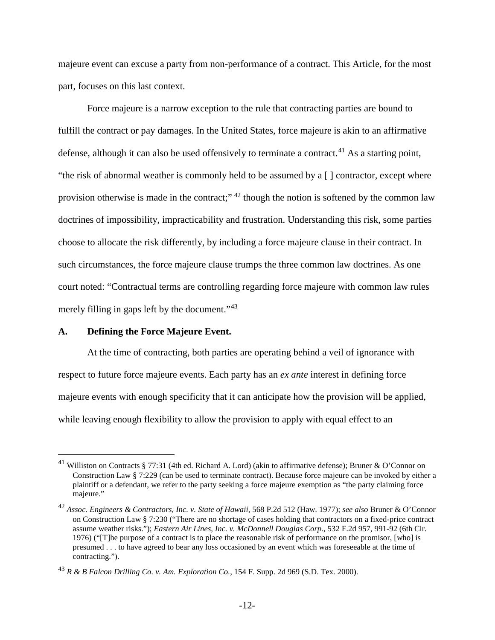majeure event can excuse a party from non-performance of a contract. This Article, for the most part, focuses on this last context.

Force majeure is a narrow exception to the rule that contracting parties are bound to fulfill the contract or pay damages. In the United States, force majeure is akin to an affirmative defense, although it can also be used offensively to terminate a contract.<sup>[41](#page-11-1)</sup> As a starting point, "the risk of abnormal weather is commonly held to be assumed by a [ ] contractor, except where provision otherwise is made in the contract;"<sup>[42](#page-11-2)</sup> though the notion is softened by the common law doctrines of impossibility, impracticability and frustration. Understanding this risk, some parties choose to allocate the risk differently, by including a force majeure clause in their contract. In such circumstances, the force majeure clause trumps the three common law doctrines. As one court noted: "Contractual terms are controlling regarding force majeure with common law rules merely filling in gaps left by the document."<sup>[43](#page-11-3)</sup>

## <span id="page-11-0"></span>**A. Defining the Force Majeure Event.**

At the time of contracting, both parties are operating behind a veil of ignorance with respect to future force majeure events. Each party has an *ex ante* interest in defining force majeure events with enough specificity that it can anticipate how the provision will be applied, while leaving enough flexibility to allow the provision to apply with equal effect to an

<span id="page-11-1"></span><sup>&</sup>lt;sup>41</sup> Williston on Contracts § 77:31 (4th ed. Richard A. Lord) (akin to affirmative defense); Bruner & O'Connor on Construction Law § 7:229 (can be used to terminate contract). Because force majeure can be invoked by either a plaintiff or a defendant, we refer to the party seeking a force majeure exemption as "the party claiming force majeure."

<span id="page-11-2"></span><sup>42</sup> *Assoc. Engineers & Contractors, Inc. v. State of Hawaii*, 568 P.2d 512 (Haw. 1977); *see also* Bruner & O'Connor on Construction Law § 7:230 ("There are no shortage of cases holding that contractors on a fixed-price contract assume weather risks."); *Eastern Air Lines, Inc. v. McDonnell Douglas Corp.*, 532 F.2d 957, 991-92 (6th Cir. 1976) ("[T]he purpose of a contract is to place the reasonable risk of performance on the promisor, [who] is presumed . . . to have agreed to bear any loss occasioned by an event which was foreseeable at the time of contracting.").

<span id="page-11-3"></span><sup>43</sup> *R & B Falcon Drilling Co. v. Am. Exploration Co.*, 154 F. Supp. 2d 969 (S.D. Tex. 2000).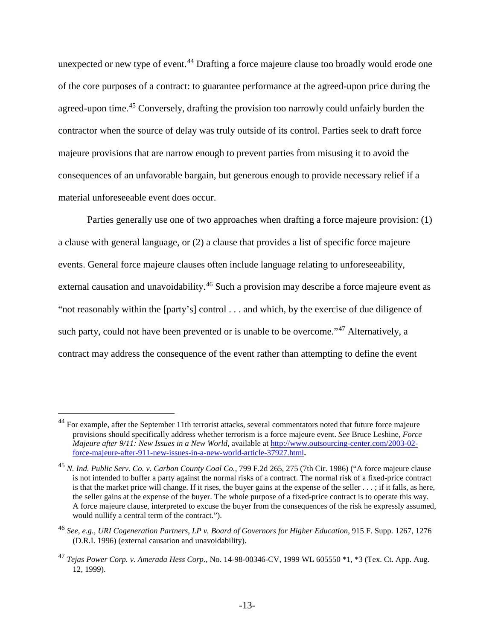unexpected or new type of event.<sup>[44](#page-12-0)</sup> Drafting a force majeure clause too broadly would erode one of the core purposes of a contract: to guarantee performance at the agreed-upon price during the agreed-upon time.<sup>[45](#page-12-1)</sup> Conversely, drafting the provision too narrowly could unfairly burden the contractor when the source of delay was truly outside of its control. Parties seek to draft force majeure provisions that are narrow enough to prevent parties from misusing it to avoid the consequences of an unfavorable bargain, but generous enough to provide necessary relief if a material unforeseeable event does occur.

Parties generally use one of two approaches when drafting a force majeure provision: (1) a clause with general language, or (2) a clause that provides a list of specific force majeure events. General force majeure clauses often include language relating to unforeseeability, external causation and unavoidability.<sup>[46](#page-12-2)</sup> Such a provision may describe a force majeure event as "not reasonably within the [party's] control . . . and which, by the exercise of due diligence of such party, could not have been prevented or is unable to be overcome."<sup>[47](#page-12-3)</sup> Alternatively, a contract may address the consequence of the event rather than attempting to define the event

<span id="page-12-0"></span><sup>&</sup>lt;sup>44</sup> For example, after the September 11th terrorist attacks, several commentators noted that future force majeure provisions should specifically address whether terrorism is a force majeure event. *See* Bruce Leshine, *Force Majeure after 9/11: New Issues in a New World*, available at [http://www.outsourcing-center.com/2003-02](http://www.outsourcing-center.com/2003-02-force-majeure-after-911-new-issues-in-a-new-world-article-37927.html) [force-majeure-after-911-new-issues-in-a-new-world-article-37927.html](http://www.outsourcing-center.com/2003-02-force-majeure-after-911-new-issues-in-a-new-world-article-37927.html)**.** 

<span id="page-12-1"></span><sup>45</sup> *N. Ind. Public Serv. Co. v. Carbon County Coal Co.*, 799 F.2d 265, 275 (7th Cir. 1986) ("A force majeure clause is not intended to buffer a party against the normal risks of a contract. The normal risk of a fixed-price contract is that the market price will change. If it rises, the buyer gains at the expense of the seller . . . ; if it falls, as here, the seller gains at the expense of the buyer. The whole purpose of a fixed-price contract is to operate this way. A force majeure clause, interpreted to excuse the buyer from the consequences of the risk he expressly assumed, would nullify a central term of the contract.").

<span id="page-12-2"></span><sup>46</sup> *See, e.g.*, *URI Cogeneration Partners, LP v. Board of Governors for Higher Education*, 915 F. Supp. 1267, 1276 (D.R.I. 1996) (external causation and unavoidability).

<span id="page-12-3"></span><sup>47</sup> *Tejas Power Corp. v. Amerada Hess Corp.*, No. 14-98-00346-CV, 1999 WL 605550 \*1, \*3 (Tex. Ct. App. Aug. 12, 1999).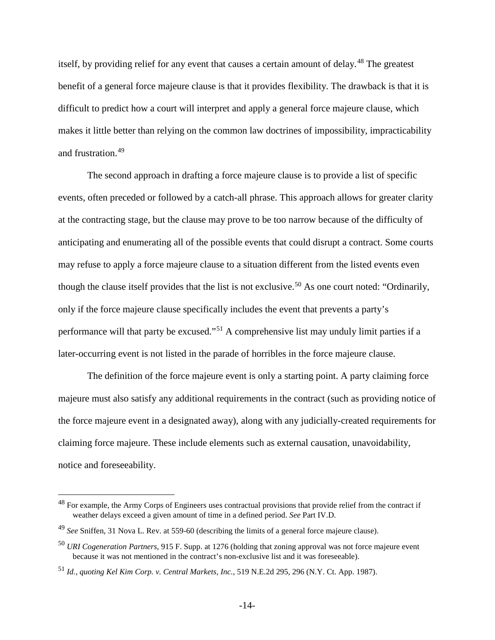itself, by providing relief for any event that causes a certain amount of delay.<sup>[48](#page-13-0)</sup> The greatest benefit of a general force majeure clause is that it provides flexibility. The drawback is that it is difficult to predict how a court will interpret and apply a general force majeure clause, which makes it little better than relying on the common law doctrines of impossibility, impracticability and frustration.[49](#page-13-1)

The second approach in drafting a force majeure clause is to provide a list of specific events, often preceded or followed by a catch-all phrase. This approach allows for greater clarity at the contracting stage, but the clause may prove to be too narrow because of the difficulty of anticipating and enumerating all of the possible events that could disrupt a contract. Some courts may refuse to apply a force majeure clause to a situation different from the listed events even though the clause itself provides that the list is not exclusive.<sup>[50](#page-13-2)</sup> As one court noted: "Ordinarily, only if the force majeure clause specifically includes the event that prevents a party's performance will that party be excused."[51](#page-13-3) A comprehensive list may unduly limit parties if a later-occurring event is not listed in the parade of horribles in the force majeure clause.

The definition of the force majeure event is only a starting point. A party claiming force majeure must also satisfy any additional requirements in the contract (such as providing notice of the force majeure event in a designated away), along with any judicially-created requirements for claiming force majeure. These include elements such as external causation, unavoidability, notice and foreseeability.

<span id="page-13-0"></span><sup>&</sup>lt;sup>48</sup> For example, the Army Corps of Engineers uses contractual provisions that provide relief from the contract if weather delays exceed a given amount of time in a defined period. *See* Part IV.D.

<span id="page-13-1"></span><sup>49</sup> *See* Sniffen, 31 Nova L. Rev. at 559-60 (describing the limits of a general force majeure clause).

<span id="page-13-2"></span><sup>50</sup> *URI Cogeneration Partners,* 915 F. Supp. at 1276 (holding that zoning approval was not force majeure event because it was not mentioned in the contract's non-exclusive list and it was foreseeable).

<span id="page-13-3"></span><sup>51</sup> *Id.*, *quoting Kel Kim Corp. v. Central Markets, Inc.*, 519 N.E.2d 295, 296 (N.Y. Ct. App. 1987).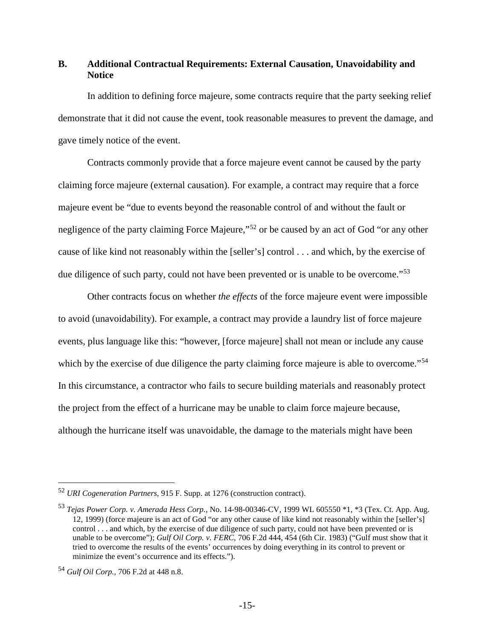# <span id="page-14-0"></span>**B. Additional Contractual Requirements: External Causation, Unavoidability and Notice**

In addition to defining force majeure, some contracts require that the party seeking relief demonstrate that it did not cause the event, took reasonable measures to prevent the damage, and gave timely notice of the event.

Contracts commonly provide that a force majeure event cannot be caused by the party claiming force majeure (external causation). For example, a contract may require that a force majeure event be "due to events beyond the reasonable control of and without the fault or negligence of the party claiming Force Majeure,"<sup>[52](#page-14-1)</sup> or be caused by an act of God "or any other cause of like kind not reasonably within the [seller's] control . . . and which, by the exercise of due diligence of such party, could not have been prevented or is unable to be overcome."<sup>[53](#page-14-2)</sup>

Other contracts focus on whether *the effects* of the force majeure event were impossible to avoid (unavoidability). For example, a contract may provide a laundry list of force majeure events, plus language like this: "however, [force majeure] shall not mean or include any cause which by the exercise of due diligence the party claiming force majeure is able to overcome."<sup>[54](#page-14-3)</sup> In this circumstance, a contractor who fails to secure building materials and reasonably protect the project from the effect of a hurricane may be unable to claim force majeure because, although the hurricane itself was unavoidable, the damage to the materials might have been

<span id="page-14-1"></span> <sup>52</sup> *URI Cogeneration Partners*, 915 F. Supp. at 1276 (construction contract).

<span id="page-14-2"></span><sup>53</sup> *Tejas Power Corp. v. Amerada Hess Corp.*, No. 14-98-00346-CV, 1999 WL 605550 \*1, \*3 (Tex. Ct. App. Aug. 12, 1999) (force majeure is an act of God "or any other cause of like kind not reasonably within the [seller's] control . . . and which, by the exercise of due diligence of such party, could not have been prevented or is unable to be overcome"); *Gulf Oil Corp. v. FERC,* 706 F.2d 444, 454 (6th Cir. 1983) ("Gulf must show that it tried to overcome the results of the events' occurrences by doing everything in its control to prevent or minimize the event's occurrence and its effects.").

<span id="page-14-3"></span><sup>54</sup> *Gulf Oil Corp.,* 706 F.2d at 448 n.8.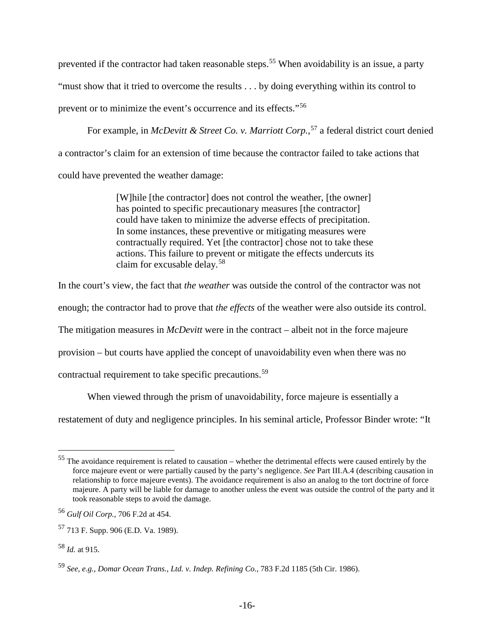prevented if the contractor had taken reasonable steps.<sup>[55](#page-15-0)</sup> When avoidability is an issue, a party "must show that it tried to overcome the results . . . by doing everything within its control to prevent or to minimize the event's occurrence and its effects."[56](#page-15-1)

For example, in *McDevitt & Street Co. v. Marriott Corp.*, [57](#page-15-2) a federal district court denied a contractor's claim for an extension of time because the contractor failed to take actions that could have prevented the weather damage:

> [W]hile [the contractor] does not control the weather, [the owner] has pointed to specific precautionary measures [the contractor] could have taken to minimize the adverse effects of precipitation. In some instances, these preventive or mitigating measures were contractually required. Yet [the contractor] chose not to take these actions. This failure to prevent or mitigate the effects undercuts its claim for excusable delay.[58](#page-15-3)

In the court's view, the fact that *the weather* was outside the control of the contractor was not

enough; the contractor had to prove that *the effects* of the weather were also outside its control.

The mitigation measures in *McDevitt* were in the contract – albeit not in the force majeure

provision – but courts have applied the concept of unavoidability even when there was no

contractual requirement to take specific precautions.<sup>[59](#page-15-4)</sup>

When viewed through the prism of unavoidability, force majeure is essentially a

restatement of duty and negligence principles. In his seminal article, Professor Binder wrote: "It

<span id="page-15-0"></span> <sup>55</sup> The avoidance requirement is related to causation – whether the detrimental effects were caused entirely by the force majeure event or were partially caused by the party's negligence. *See* Part III.A.4 (describing causation in relationship to force majeure events). The avoidance requirement is also an analog to the tort doctrine of force majeure. A party will be liable for damage to another unless the event was outside the control of the party and it took reasonable steps to avoid the damage.

<span id="page-15-1"></span><sup>56</sup> *Gulf Oil Corp.,* 706 F.2d at 454.

<span id="page-15-2"></span><sup>57</sup> 713 F. Supp. 906 (E.D. Va. 1989).

<span id="page-15-3"></span><sup>58</sup> *Id.* at 915.

<span id="page-15-4"></span><sup>59</sup> *See, e.g., Domar Ocean Trans., Ltd. v. Indep. Refining Co.*, 783 F.2d 1185 (5th Cir. 1986).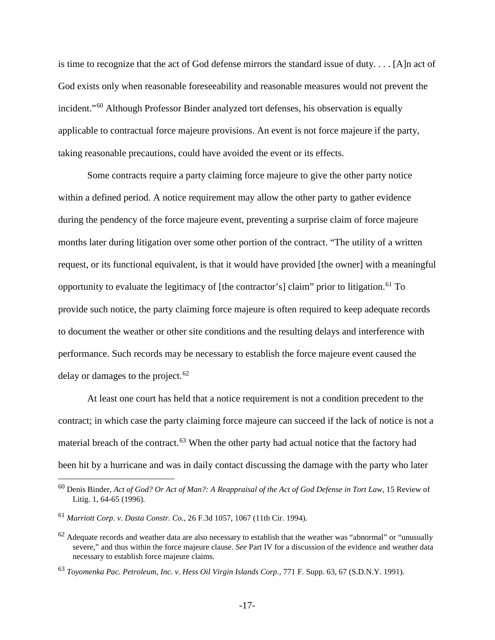is time to recognize that the act of God defense mirrors the standard issue of duty. . . . [A]n act of God exists only when reasonable foreseeability and reasonable measures would not prevent the incident."[60](#page-16-0) Although Professor Binder analyzed tort defenses, his observation is equally applicable to contractual force majeure provisions. An event is not force majeure if the party, taking reasonable precautions, could have avoided the event or its effects.

Some contracts require a party claiming force majeure to give the other party notice within a defined period. A notice requirement may allow the other party to gather evidence during the pendency of the force majeure event, preventing a surprise claim of force majeure months later during litigation over some other portion of the contract. "The utility of a written request, or its functional equivalent, is that it would have provided [the owner] with a meaningful opportunity to evaluate the legitimacy of [the contractor's] claim" prior to litigation.[61](#page-16-1) To provide such notice, the party claiming force majeure is often required to keep adequate records to document the weather or other site conditions and the resulting delays and interference with performance. Such records may be necessary to establish the force majeure event caused the delay or damages to the project. $62$ 

At least one court has held that a notice requirement is not a condition precedent to the contract; in which case the party claiming force majeure can succeed if the lack of notice is not a material breach of the contract.<sup>[63](#page-16-3)</sup> When the other party had actual notice that the factory had been hit by a hurricane and was in daily contact discussing the damage with the party who later

<span id="page-16-0"></span> <sup>60</sup> Denis Binder, *Act of God? Or Act of Man?: A Reappraisal of the Act of God Defense in Tort Law*, 15 Review of Litig. 1, 64-65 (1996).

<span id="page-16-1"></span><sup>61</sup> *Marriott Corp. v. Dasta Constr. Co.*, 26 F.3d 1057, 1067 (11th Cir. 1994).

<span id="page-16-2"></span> $62$  Adequate records and weather data are also necessary to establish that the weather was "abnormal" or "unusually severe," and thus within the force majeure clause. *See* Part IV for a discussion of the evidence and weather data necessary to establish force majeure claims.

<span id="page-16-3"></span><sup>63</sup> *Toyomenka Pac. Petroleum, Inc. v. Hess Oil Virgin Islands Corp.*, 771 F. Supp. 63, 67 (S.D.N.Y. 1991).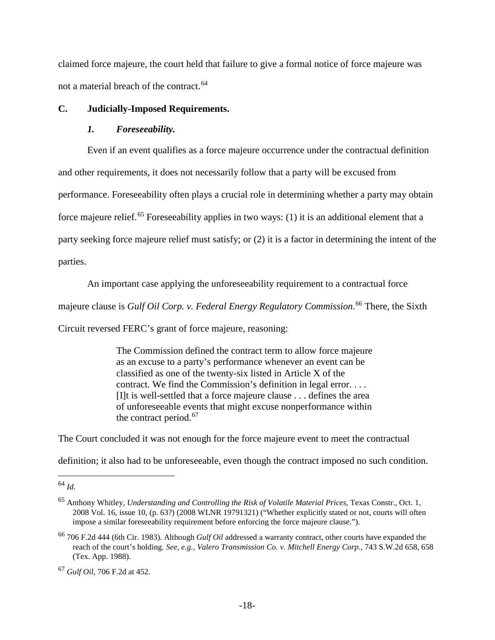claimed force majeure, the court held that failure to give a formal notice of force majeure was not a material breach of the contract.<sup>[64](#page-17-2)</sup>

## <span id="page-17-0"></span>**C. Judicially-Imposed Requirements.**

#### <span id="page-17-1"></span>*1. Foreseeability.*

Even if an event qualifies as a force majeure occurrence under the contractual definition

and other requirements, it does not necessarily follow that a party will be excused from

performance. Foreseeability often plays a crucial role in determining whether a party may obtain

force maieure relief.<sup>[65](#page-17-3)</sup> Foreseeability applies in two ways: (1) it is an additional element that a

party seeking force majeure relief must satisfy; or (2) it is a factor in determining the intent of the

parties.

An important case applying the unforeseeability requirement to a contractual force

majeure clause is *Gulf Oil Corp. v. Federal Energy Regulatory Commission*. [66](#page-17-4) There, the Sixth

Circuit reversed FERC's grant of force majeure, reasoning:

The Commission defined the contract term to allow force majeure as an excuse to a party's performance whenever an event can be classified as one of the twenty-six listed in Article X of the contract. We find the Commission's definition in legal error. . . . [I]t is well-settled that a force majeure clause . . . defines the area of unforeseeable events that might excuse nonperformance within the contract period.<sup>[67](#page-17-5)</sup>

The Court concluded it was not enough for the force majeure event to meet the contractual

definition; it also had to be unforeseeable, even though the contract imposed no such condition.

<span id="page-17-2"></span> <sup>64</sup> *Id*.

<span id="page-17-3"></span><sup>65</sup> Anthony Whitley, *Understanding and Controlling the Risk of Volatile Material Prices*, Texas Constr., Oct. 1, 2008 Vol. 16, issue 10, (p. 63?) (2008 WLNR 19791321) ("Whether explicitly stated or not, courts will often impose a similar foreseeability requirement before enforcing the force majeure clause.").

<span id="page-17-4"></span><sup>66</sup> 706 F.2d 444 (6th Cir. 1983). Although *Gulf Oil* addressed a warranty contract, other courts have expanded the reach of the court's holding*. See, e.g., Valero Transmission Co. v. Mitchell Energy Corp.*, 743 S.W.2d 658, 658 (Tex. App. 1988).

<span id="page-17-5"></span><sup>67</sup> *Gulf Oil*, 706 F.2d at 452.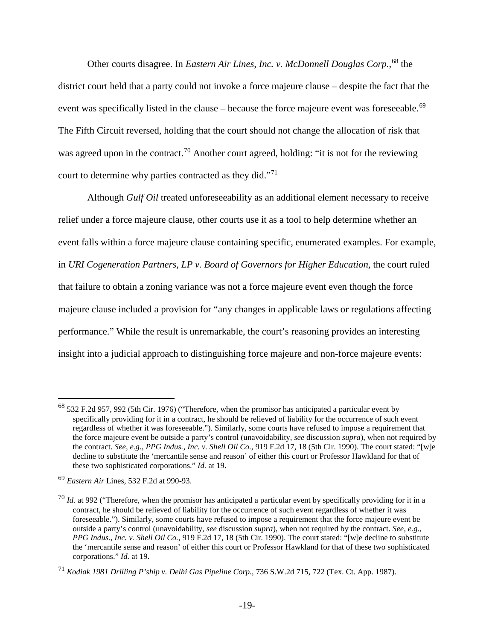Other courts disagree. In *Eastern Air Lines, Inc. v. McDonnell Douglas Corp.*, [68](#page-18-0) the district court held that a party could not invoke a force majeure clause – despite the fact that the event was specifically listed in the clause – because the force majeure event was foreseeable.<sup>[69](#page-18-1)</sup> The Fifth Circuit reversed, holding that the court should not change the allocation of risk that was agreed upon in the contract.<sup>[70](#page-18-2)</sup> Another court agreed, holding: "it is not for the reviewing court to determine why parties contracted as they did."[71](#page-18-3)

Although *Gulf Oil* treated unforeseeability as an additional element necessary to receive relief under a force majeure clause, other courts use it as a tool to help determine whether an event falls within a force majeure clause containing specific, enumerated examples. For example, in *URI Cogeneration Partners, LP v. Board of Governors for Higher Education*, the court ruled that failure to obtain a zoning variance was not a force majeure event even though the force majeure clause included a provision for "any changes in applicable laws or regulations affecting performance." While the result is unremarkable, the court's reasoning provides an interesting insight into a judicial approach to distinguishing force majeure and non-force majeure events:

<span id="page-18-0"></span> <sup>68</sup> 532 F.2d 957, 992 (5th Cir. 1976) ("Therefore, when the promisor has anticipated a particular event by specifically providing for it in a contract, he should be relieved of liability for the occurrence of such event regardless of whether it was foreseeable."). Similarly, some courts have refused to impose a requirement that the force majeure event be outside a party's control (unavoidability, *see* discussion *supra*), when not required by the contract. *See, e.g., PPG Indus., Inc. v. Shell Oil Co.*, 919 F.2d 17, 18 (5th Cir. 1990). The court stated: "[w]e decline to substitute the 'mercantile sense and reason' of either this court or Professor Hawkland for that of these two sophisticated corporations." *Id.* at 19.

<span id="page-18-1"></span><sup>69</sup> *Eastern Air* Lines, 532 F.2d at 990-93.

<span id="page-18-2"></span><sup>&</sup>lt;sup>70</sup> *Id.* at 992 ("Therefore, when the promisor has anticipated a particular event by specifically providing for it in a contract, he should be relieved of liability for the occurrence of such event regardless of whether it was foreseeable."). Similarly, some courts have refused to impose a requirement that the force majeure event be outside a party's control (unavoidability, *see* discussion *supra*), when not required by the contract. *See, e.g., PPG Indus., Inc. v. Shell Oil Co.*, 919 F.2d 17, 18 (5th Cir. 1990). The court stated: "[w]e decline to substitute the 'mercantile sense and reason' of either this court or Professor Hawkland for that of these two sophisticated corporations." *Id.* at 19.

<span id="page-18-3"></span><sup>71</sup> *Kodiak 1981 Drilling P'ship v. Delhi Gas Pipeline Corp.*, 736 S.W.2d 715, 722 (Tex. Ct. App. 1987).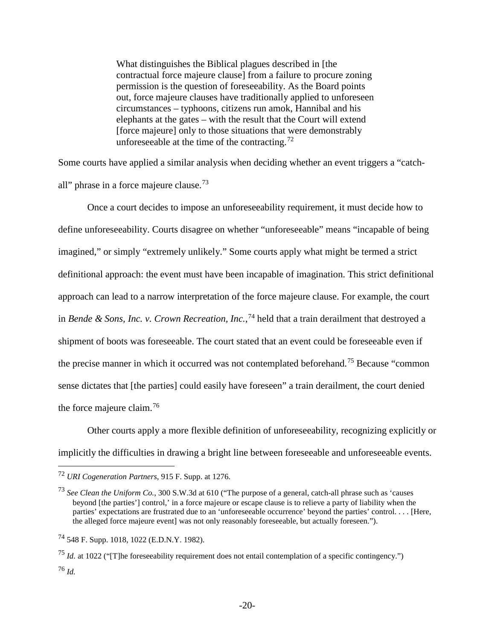<span id="page-19-5"></span>What distinguishes the Biblical plagues described in [the contractual force majeure clause] from a failure to procure zoning permission is the question of foreseeability. As the Board points out, force majeure clauses have traditionally applied to unforeseen circumstances – typhoons, citizens run amok, Hannibal and his elephants at the gates – with the result that the Court will extend [force majeure] only to those situations that were demonstrably unforeseeable at the time of the contracting.<sup>[72](#page-19-0)</sup>

Some courts have applied a similar analysis when deciding whether an event triggers a "catchall" phrase in a force majeure clause.[73](#page-19-1)

Once a court decides to impose an unforeseeability requirement, it must decide how to define unforeseeability. Courts disagree on whether "unforeseeable" means "incapable of being imagined," or simply "extremely unlikely." Some courts apply what might be termed a strict definitional approach: the event must have been incapable of imagination. This strict definitional approach can lead to a narrow interpretation of the force majeure clause. For example, the court in *Bende & Sons, Inc. v. Crown Recreation, Inc.*, [74](#page-19-2) held that a train derailment that destroyed a shipment of boots was foreseeable. The court stated that an event could be foreseeable even if the precise manner in which it occurred was not contemplated beforehand.[75](#page-19-3) Because "common sense dictates that [the parties] could easily have foreseen" a train derailment, the court denied the force majeure claim.[76](#page-19-4)

Other courts apply a more flexible definition of unforeseeability, recognizing explicitly or implicitly the difficulties in drawing a bright line between foreseeable and unforeseeable events.

<span id="page-19-4"></span><span id="page-19-3"></span><sup>75</sup> *Id.* at 1022 ("[T]he foreseeability requirement does not entail contemplation of a specific contingency.") <sup>76</sup> *Id.*

<span id="page-19-0"></span> <sup>72</sup> *URI Cogeneration Partners*, 915 F. Supp. at 1276.

<span id="page-19-1"></span><sup>73</sup> *See Clean the Uniform Co.*, 300 S.W.3d at 610 ("The purpose of a general, catch-all phrase such as 'causes beyond [the parties'] control,' in a force majeure or escape clause is to relieve a party of liability when the parties' expectations are frustrated due to an 'unforeseeable occurrence' beyond the parties' control. . . . [Here, the alleged force majeure event] was not only reasonably foreseeable, but actually foreseen.").

<span id="page-19-2"></span><sup>74</sup> 548 F. Supp. 1018, 1022 (E.D.N.Y. 1982).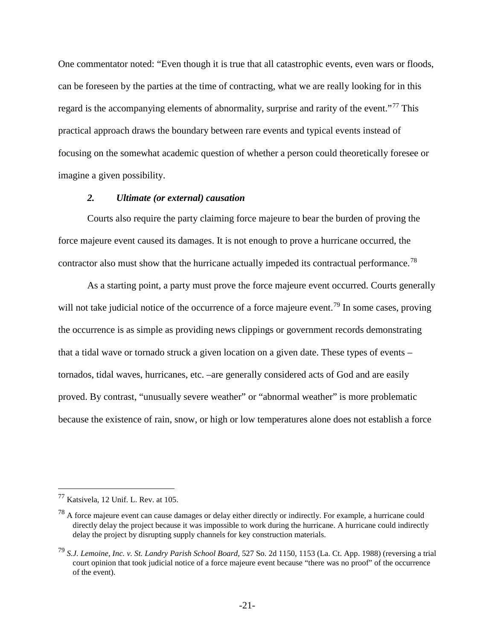One commentator noted: "Even though it is true that all catastrophic events, even wars or floods, can be foreseen by the parties at the time of contracting, what we are really looking for in this regard is the accompanying elements of abnormality, surprise and rarity of the event."<sup>[77](#page-20-1)</sup> This practical approach draws the boundary between rare events and typical events instead of focusing on the somewhat academic question of whether a person could theoretically foresee or imagine a given possibility.

## <span id="page-20-0"></span>*2. Ultimate (or external) causation*

Courts also require the party claiming force majeure to bear the burden of proving the force majeure event caused its damages. It is not enough to prove a hurricane occurred, the contractor also must show that the hurricane actually impeded its contractual performance.<sup>[78](#page-20-2)</sup>

As a starting point, a party must prove the force majeure event occurred. Courts generally will not take judicial notice of the occurrence of a force majeure event.<sup>[79](#page-20-3)</sup> In some cases, proving the occurrence is as simple as providing news clippings or government records demonstrating that a tidal wave or tornado struck a given location on a given date. These types of events – tornados, tidal waves, hurricanes, etc. –are generally considered acts of God and are easily proved. By contrast, "unusually severe weather" or "abnormal weather" is more problematic because the existence of rain, snow, or high or low temperatures alone does not establish a force

<span id="page-20-1"></span> <sup>77</sup> Katsivela, 12 Unif. L. Rev. at 105.

<span id="page-20-2"></span><sup>&</sup>lt;sup>78</sup> A force majeure event can cause damages or delay either directly or indirectly. For example, a hurricane could directly delay the project because it was impossible to work during the hurricane. A hurricane could indirectly delay the project by disrupting supply channels for key construction materials.

<span id="page-20-3"></span><sup>79</sup> *S.J. Lemoine, Inc. v. St. Landry Parish School Board*, 527 So. 2d 1150, 1153 (La. Ct. App. 1988) (reversing a trial court opinion that took judicial notice of a force majeure event because "there was no proof" of the occurrence of the event).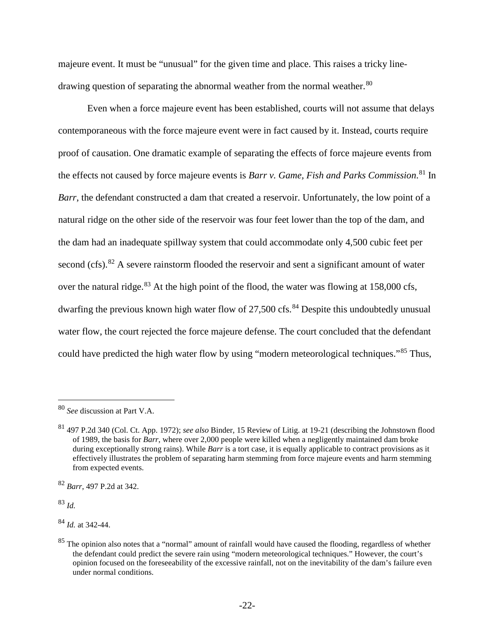majeure event. It must be "unusual" for the given time and place. This raises a tricky line-drawing question of separating the abnormal weather from the normal weather.<sup>[80](#page-21-2)</sup>

<span id="page-21-0"></span>Even when a force majeure event has been established, courts will not assume that delays contemporaneous with the force majeure event were in fact caused by it. Instead, courts require proof of causation. One dramatic example of separating the effects of force majeure events from the effects not caused by force majeure events is *Barr v. Game, Fish and Parks Commission*. [81](#page-21-3) In *Barr*, the defendant constructed a dam that created a reservoir. Unfortunately, the low point of a natural ridge on the other side of the reservoir was four feet lower than the top of the dam, and the dam had an inadequate spillway system that could accommodate only 4,500 cubic feet per second (cfs).<sup>[82](#page-21-4)</sup> A severe rainstorm flooded the reservoir and sent a significant amount of water over the natural ridge.<sup>[83](#page-21-5)</sup> At the high point of the flood, the water was flowing at 158,000 cfs, dwarfing the previous known high water flow of  $27,500$  cfs.<sup>[84](#page-21-6)</sup> Despite this undoubtedly unusual water flow, the court rejected the force majeure defense. The court concluded that the defendant could have predicted the high water flow by using "modern meteorological techniques."[85](#page-21-7) Thus,

<span id="page-21-5"></span><sup>83</sup> *Id.*

<span id="page-21-6"></span><sup>84</sup> *Id.* at 342-44.

<span id="page-21-2"></span><span id="page-21-1"></span> <sup>80</sup> *See* discussion at Part V.A.

<span id="page-21-3"></span><sup>81</sup> 497 P.2d 340 (Col. Ct. App. 1972); *see also* Binder, 15 Review of Litig. at 19-21 (describing the Johnstown flood of 1989, the basis for *Barr*, where over 2,000 people were killed when a negligently maintained dam broke during exceptionally strong rains). While *Barr* is a tort case, it is equally applicable to contract provisions as it effectively illustrates the problem of separating harm stemming from force majeure events and harm stemming from expected events.

<span id="page-21-4"></span><sup>82</sup> *Barr*, 497 P.2d at 342.

<span id="page-21-7"></span> $85$  The opinion also notes that a "normal" amount of rainfall would have caused the flooding, regardless of whether the defendant could predict the severe rain using "modern meteorological techniques." However, the court's opinion focused on the foreseeability of the excessive rainfall, not on the inevitability of the dam's failure even under normal conditions.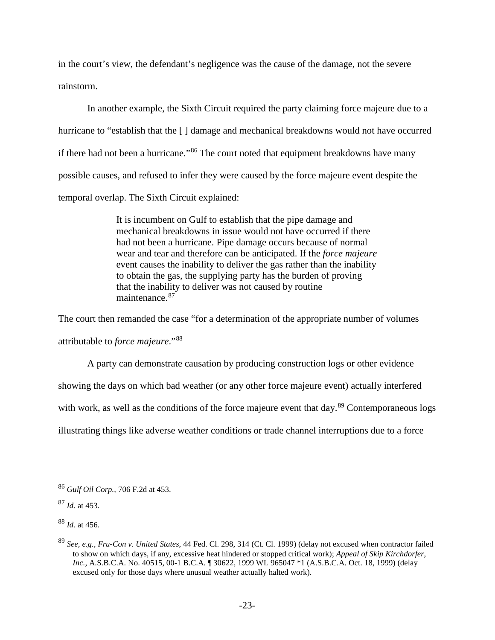in the court's view, the defendant's negligence was the cause of the damage, not the severe rainstorm.

In another example, the Sixth Circuit required the party claiming force majeure due to a hurricane to "establish that the [] damage and mechanical breakdowns would not have occurred if there had not been a hurricane."<sup>[86](#page-22-0)</sup> The court noted that equipment breakdowns have many possible causes, and refused to infer they were caused by the force majeure event despite the temporal overlap. The Sixth Circuit explained:

> It is incumbent on Gulf to establish that the pipe damage and mechanical breakdowns in issue would not have occurred if there had not been a hurricane. Pipe damage occurs because of normal wear and tear and therefore can be anticipated. If the *force majeure* event causes the inability to deliver the gas rather than the inability to obtain the gas, the supplying party has the burden of proving that the inability to deliver was not caused by routine maintenance.<sup>[87](#page-22-1)</sup>

The court then remanded the case "for a determination of the appropriate number of volumes

attributable to *force majeure*."[88](#page-22-2)

A party can demonstrate causation by producing construction logs or other evidence

showing the days on which bad weather (or any other force majeure event) actually interfered

with work, as well as the conditions of the force majeure event that day.<sup>[89](#page-22-3)</sup> Contemporaneous logs

illustrating things like adverse weather conditions or trade channel interruptions due to a force

<span id="page-22-2"></span><sup>88</sup> *Id.* at 456.

<span id="page-22-0"></span> <sup>86</sup> *Gulf Oil Corp.,* 706 F.2d at 453.

<span id="page-22-1"></span><sup>87</sup> *Id.* at 453.

<span id="page-22-3"></span><sup>89</sup> *See, e.g.*, *Fru-Con v. United States*, 44 Fed. Cl. 298, 314 (Ct. Cl. 1999) (delay not excused when contractor failed to show on which days, if any, excessive heat hindered or stopped critical work); *Appeal of Skip Kirchdorfer, Inc.,* A.S.B.C.A. No. 40515, 00-1 B.C.A. ¶ 30622, 1999 WL 965047 \*1 (A.S.B.C.A. Oct. 18, 1999) (delay excused only for those days where unusual weather actually halted work).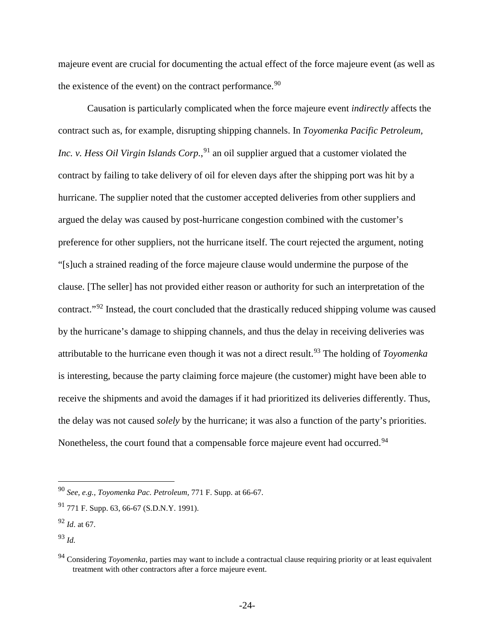majeure event are crucial for documenting the actual effect of the force majeure event (as well as the existence of the event) on the contract performance.<sup>[90](#page-23-0)</sup>

Causation is particularly complicated when the force majeure event *indirectly* affects the contract such as, for example, disrupting shipping channels. In *Toyomenka Pacific Petroleum, Inc. v. Hess Oil Virgin Islands Corp.*, [91](#page-23-1) an oil supplier argued that a customer violated the contract by failing to take delivery of oil for eleven days after the shipping port was hit by a hurricane. The supplier noted that the customer accepted deliveries from other suppliers and argued the delay was caused by post-hurricane congestion combined with the customer's preference for other suppliers, not the hurricane itself. The court rejected the argument, noting "[s]uch a strained reading of the force majeure clause would undermine the purpose of the clause. [The seller] has not provided either reason or authority for such an interpretation of the contract."[92](#page-23-2) Instead, the court concluded that the drastically reduced shipping volume was caused by the hurricane's damage to shipping channels, and thus the delay in receiving deliveries was attributable to the hurricane even though it was not a direct result.[93](#page-23-3) The holding of *Toyomenka* is interesting, because the party claiming force majeure (the customer) might have been able to receive the shipments and avoid the damages if it had prioritized its deliveries differently. Thus, the delay was not caused *solely* by the hurricane; it was also a function of the party's priorities. Nonetheless, the court found that a compensable force majeure event had occurred.<sup>[94](#page-23-4)</sup>

<span id="page-23-0"></span> <sup>90</sup> *See, e.g., Toyomenka Pac. Petroleum,* 771 F. Supp. at 66-67.

<span id="page-23-1"></span> $91$  771 F. Supp. 63, 66-67 (S.D.N.Y. 1991).

<span id="page-23-2"></span><sup>92</sup> *Id*. at 67.

<span id="page-23-3"></span><sup>93</sup> *Id.*

<span id="page-23-4"></span><sup>&</sup>lt;sup>94</sup> Considering *Toyomenka*, parties may want to include a contractual clause requiring priority or at least equivalent treatment with other contractors after a force majeure event.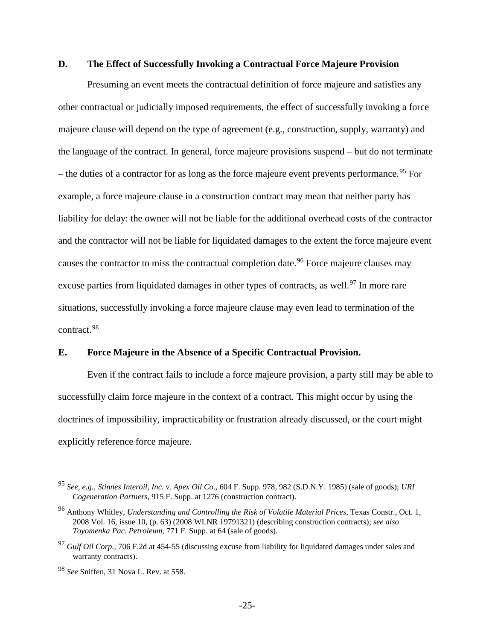# <span id="page-24-0"></span>**D. The Effect of Successfully Invoking a Contractual Force Majeure Provision**

Presuming an event meets the contractual definition of force majeure and satisfies any other contractual or judicially imposed requirements, the effect of successfully invoking a force majeure clause will depend on the type of agreement (e.g., construction, supply, warranty) and the language of the contract. In general, force majeure provisions suspend – but do not terminate – the duties of a contractor for as long as the force majeure event prevents performance.<sup>[95](#page-24-2)</sup> For example, a force majeure clause in a construction contract may mean that neither party has liability for delay: the owner will not be liable for the additional overhead costs of the contractor and the contractor will not be liable for liquidated damages to the extent the force majeure event causes the contractor to miss the contractual completion date.<sup>[96](#page-24-3)</sup> Force majeure clauses may excuse parties from liquidated damages in other types of contracts, as well.<sup>[97](#page-24-4)</sup> In more rare situations, successfully invoking a force majeure clause may even lead to termination of the contract.[98](#page-24-5)

## <span id="page-24-1"></span>**E. Force Majeure in the Absence of a Specific Contractual Provision.**

Even if the contract fails to include a force majeure provision, a party still may be able to successfully claim force majeure in the context of a contract. This might occur by using the doctrines of impossibility, impracticability or frustration already discussed, or the court might explicitly reference force majeure.

<span id="page-24-2"></span> <sup>95</sup> *See, e.g., Stinnes Interoil, Inc. v. Apex Oil Co.*, 604 F. Supp. 978, 982 (S.D.N.Y. 1985) (sale of goods); *URI Cogeneration Partners*, 915 F. Supp. at 1276 (construction contract).

<span id="page-24-3"></span><sup>96</sup> Anthony Whitley, *Understanding and Controlling the Risk of Volatile Material Prices*, Texas Constr., Oct. 1, 2008 Vol. 16, issue 10, (p. 63) (2008 WLNR 19791321) (describing construction contracts); *see also Toyomenka Pac. Petroleum*, 771 F. Supp. at 64 (sale of goods).

<span id="page-24-4"></span><sup>&</sup>lt;sup>97</sup> *Gulf Oil Corp.*, 706 F.2d at 454-55 (discussing excuse from liability for liquidated damages under sales and warranty contracts).

<span id="page-24-5"></span><sup>98</sup> *See* Sniffen, 31 Nova L. Rev. at 558.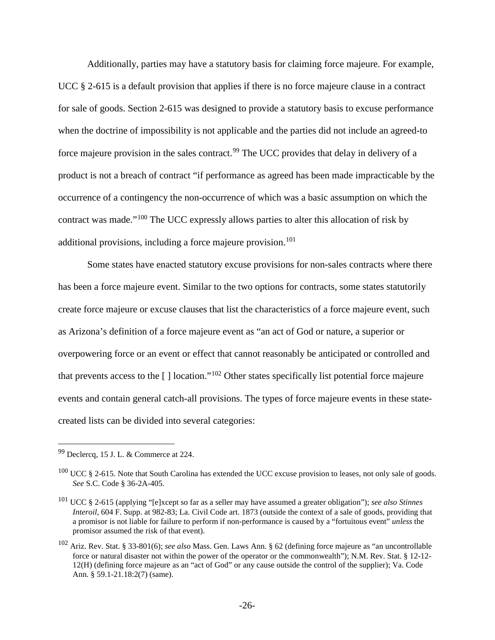Additionally, parties may have a statutory basis for claiming force majeure. For example, UCC § 2-615 is a default provision that applies if there is no force majeure clause in a contract for sale of goods. Section 2-615 was designed to provide a statutory basis to excuse performance when the doctrine of impossibility is not applicable and the parties did not include an agreed-to force majeure provision in the sales contract.<sup>[99](#page-25-1)</sup> The UCC provides that delay in delivery of a product is not a breach of contract "if performance as agreed has been made impracticable by the occurrence of a contingency the non-occurrence of which was a basic assumption on which the contract was made."[100](#page-25-2) The UCC expressly allows parties to alter this allocation of risk by additional provisions, including a force majeure provision.<sup>[101](#page-25-3)</sup>

Some states have enacted statutory excuse provisions for non-sales contracts where there has been a force majeure event. Similar to the two options for contracts, some states statutorily create force majeure or excuse clauses that list the characteristics of a force majeure event, such as Arizona's definition of a force majeure event as "an act of God or nature, a superior or overpowering force or an event or effect that cannot reasonably be anticipated or controlled and that prevents access to the [ ] location."[102](#page-25-4) Other states specifically list potential force majeure events and contain general catch-all provisions. The types of force majeure events in these statecreated lists can be divided into several categories:

<span id="page-25-1"></span><span id="page-25-0"></span> <sup>99</sup> Declercq, 15 J. L. & Commerce at 224.

<span id="page-25-2"></span> $100$  UCC § 2-615. Note that South Carolina has extended the UCC excuse provision to leases, not only sale of goods. *See* S.C. Code § 36-2A-405.

<span id="page-25-3"></span><sup>101</sup> UCC § 2-615 (applying "[e]xcept so far as a seller may have assumed a greater obligation"); *see also Stinnes Interoil*, 604 F. Supp. at 982-83; La. Civil Code art. 1873 (outside the context of a sale of goods, providing that a promisor is not liable for failure to perform if non-performance is caused by a "fortuitous event" *unless* the promisor assumed the risk of that event).

<span id="page-25-4"></span><sup>102</sup> Ariz. Rev. Stat. § 33-801(6); *see also* Mass. Gen. Laws Ann. § 62 (defining force majeure as "an uncontrollable force or natural disaster not within the power of the operator or the commonwealth"); N.M. Rev. Stat. § 12-12- 12(H) (defining force majeure as an "act of God" or any cause outside the control of the supplier); Va. Code Ann. § 59.1-21.18:2(7) (same).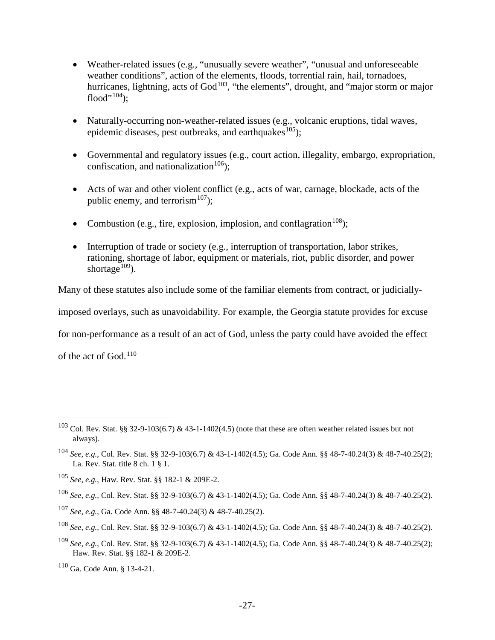- Weather-related issues (e.g., "unusually severe weather", "unusual and unforeseeable weather conditions", action of the elements, floods, torrential rain, hail, tornadoes, hurricanes, lightning, acts of  $God<sup>103</sup>$  $God<sup>103</sup>$  $God<sup>103</sup>$ , "the elements", drought, and "major storm or major flood" $104$ );
- Naturally-occurring non-weather-related issues (e.g., volcanic eruptions, tidal waves, epidemic diseases, pest outbreaks, and earthquakes<sup>105</sup>);
- Governmental and regulatory issues (e.g., court action, illegality, embargo, expropriation, confiscation, and nationalization<sup>[106](#page-26-4)</sup>);
- Acts of war and other violent conflict (e.g., acts of war, carnage, blockade, acts of the public enemy, and terrorism<sup>[107](#page-26-5)</sup>);
- Combustion (e.g., fire, explosion, implosion, and conflagration<sup>[108](#page-26-6)</sup>);
- Interruption of trade or society (e.g., interruption of transportation, labor strikes, rationing, shortage of labor, equipment or materials, riot, public disorder, and power shortage<sup>[109](#page-26-7)</sup>).

Many of these statutes also include some of the familiar elements from contract, or judicially-

imposed overlays, such as unavoidability. For example, the Georgia statute provides for excuse

for non-performance as a result of an act of God, unless the party could have avoided the effect

<span id="page-26-0"></span>of the act of God.<sup>[110](#page-26-8)</sup>

<span id="page-26-7"></span><sup>109</sup> *See, e.g.*, Col. Rev. Stat. §§ 32-9-103(6.7) & 43-1-1402(4.5); Ga. Code Ann. §§ 48-7-40.24(3) & 48-7-40.25(2); Haw. Rev. Stat. §§ 182-1 & 209E-2.

<span id="page-26-8"></span><sup>110</sup> Ga. Code Ann. § 13-4-21.

<span id="page-26-1"></span><sup>&</sup>lt;sup>103</sup> Col. Rev. Stat. §§ 32-9-103(6.7) & 43-1-1402(4.5) (note that these are often weather related issues but not always).

<span id="page-26-2"></span><sup>104</sup> *See, e.g.*, Col. Rev. Stat. §§ 32-9-103(6.7) & 43-1-1402(4.5); Ga. Code Ann. §§ 48-7-40.24(3) & 48-7-40.25(2); La. Rev. Stat. title 8 ch. 1 § 1.

<span id="page-26-3"></span><sup>105</sup> *See, e.g.*, Haw. Rev. Stat. §§ 182-1 & 209E-2.

<span id="page-26-4"></span><sup>106</sup> *See, e.g.*, Col. Rev. Stat. §§ 32-9-103(6.7) & 43-1-1402(4.5); Ga. Code Ann. §§ 48-7-40.24(3) & 48-7-40.25(2).

<span id="page-26-5"></span><sup>107</sup> *See, e.g.*, Ga. Code Ann. §§ 48-7-40.24(3) & 48-7-40.25(2).

<span id="page-26-6"></span><sup>108</sup> *See, e.g.*, Col. Rev. Stat. §§ 32-9-103(6.7) & 43-1-1402(4.5); Ga. Code Ann. §§ 48-7-40.24(3) & 48-7-40.25(2).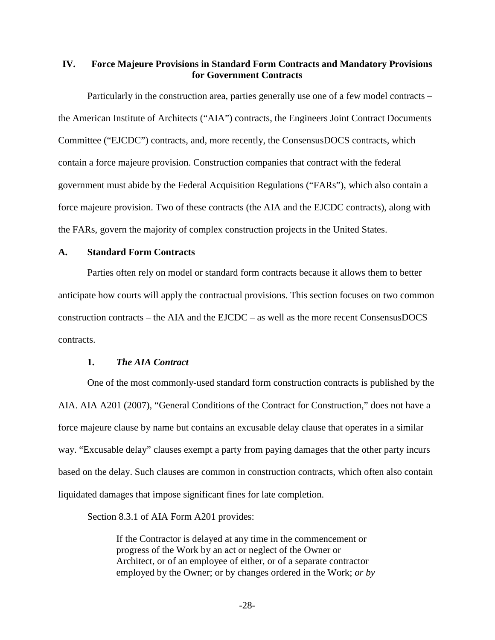# <span id="page-27-0"></span>**IV. Force Majeure Provisions in Standard Form Contracts and Mandatory Provisions for Government Contracts**

Particularly in the construction area, parties generally use one of a few model contracts – the American Institute of Architects ("AIA") contracts, the Engineers Joint Contract Documents Committee ("EJCDC") contracts, and, more recently, the ConsensusDOCS contracts, which contain a force majeure provision. Construction companies that contract with the federal government must abide by the Federal Acquisition Regulations ("FARs"), which also contain a force majeure provision. Two of these contracts (the AIA and the EJCDC contracts), along with the FARs, govern the majority of complex construction projects in the United States.

#### <span id="page-27-1"></span>**A. Standard Form Contracts**

Parties often rely on model or standard form contracts because it allows them to better anticipate how courts will apply the contractual provisions. This section focuses on two common construction contracts – the AIA and the EJCDC – as well as the more recent ConsensusDOCS contracts.

#### <span id="page-27-2"></span>**1.** *The AIA Contract*

One of the most commonly-used standard form construction contracts is published by the AIA. AIA A201 (2007), "General Conditions of the Contract for Construction," does not have a force majeure clause by name but contains an excusable delay clause that operates in a similar way. "Excusable delay" clauses exempt a party from paying damages that the other party incurs based on the delay. Such clauses are common in construction contracts, which often also contain liquidated damages that impose significant fines for late completion.

Section 8.3.1 of AIA Form A201 provides:

If the Contractor is delayed at any time in the commencement or progress of the Work by an act or neglect of the Owner or Architect, or of an employee of either, or of a separate contractor employed by the Owner; or by changes ordered in the Work; *or by*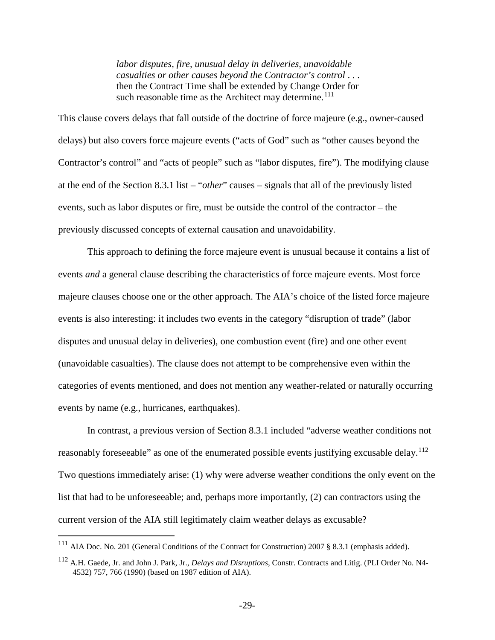*labor disputes, fire, unusual delay in deliveries, unavoidable casualties or other causes beyond the Contractor's control* . . . then the Contract Time shall be extended by Change Order for such reasonable time as the Architect may determine.<sup>[111](#page-28-0)</sup>

This clause covers delays that fall outside of the doctrine of force majeure (e.g., owner-caused delays) but also covers force majeure events ("acts of God" such as "other causes beyond the Contractor's control" and "acts of people" such as "labor disputes, fire"). The modifying clause at the end of the Section 8.3.1 list – "*other*" causes – signals that all of the previously listed events, such as labor disputes or fire, must be outside the control of the contractor – the previously discussed concepts of external causation and unavoidability.

This approach to defining the force majeure event is unusual because it contains a list of events *and* a general clause describing the characteristics of force majeure events. Most force majeure clauses choose one or the other approach. The AIA's choice of the listed force majeure events is also interesting: it includes two events in the category "disruption of trade" (labor disputes and unusual delay in deliveries), one combustion event (fire) and one other event (unavoidable casualties). The clause does not attempt to be comprehensive even within the categories of events mentioned, and does not mention any weather-related or naturally occurring events by name (e.g., hurricanes, earthquakes).

In contrast, a previous version of Section 8.3.1 included "adverse weather conditions not reasonably foreseeable" as one of the enumerated possible events justifying excusable delay.<sup>[112](#page-28-1)</sup> Two questions immediately arise: (1) why were adverse weather conditions the only event on the list that had to be unforeseeable; and, perhaps more importantly, (2) can contractors using the current version of the AIA still legitimately claim weather delays as excusable?

<span id="page-28-0"></span> <sup>111</sup> AIA Doc. No. 201 (General Conditions of the Contract for Construction) 2007 § 8.3.1 (emphasis added).

<span id="page-28-1"></span><sup>112</sup> A.H. Gaede, Jr. and John J. Park, Jr., *Delays and Disruptions*, Constr. Contracts and Litig. (PLI Order No. N4- 4532) 757, 766 (1990) (based on 1987 edition of AIA).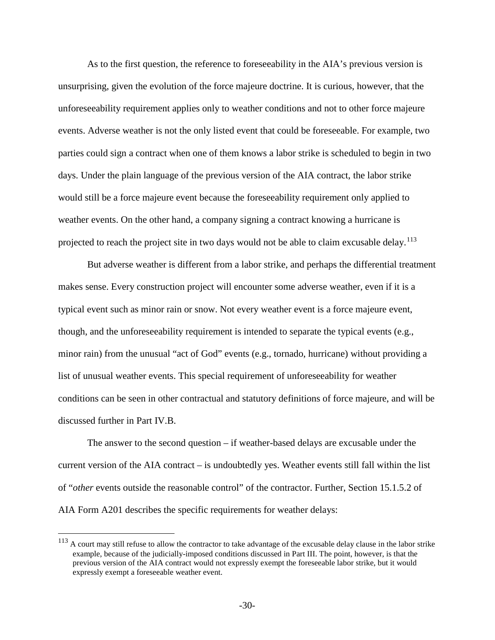As to the first question, the reference to foreseeability in the AIA's previous version is unsurprising, given the evolution of the force majeure doctrine. It is curious, however, that the unforeseeability requirement applies only to weather conditions and not to other force majeure events. Adverse weather is not the only listed event that could be foreseeable. For example, two parties could sign a contract when one of them knows a labor strike is scheduled to begin in two days. Under the plain language of the previous version of the AIA contract, the labor strike would still be a force majeure event because the foreseeability requirement only applied to weather events. On the other hand, a company signing a contract knowing a hurricane is projected to reach the project site in two days would not be able to claim excusable delay.<sup>[113](#page-29-0)</sup>

But adverse weather is different from a labor strike, and perhaps the differential treatment makes sense. Every construction project will encounter some adverse weather, even if it is a typical event such as minor rain or snow. Not every weather event is a force majeure event, though, and the unforeseeability requirement is intended to separate the typical events (e.g., minor rain) from the unusual "act of God" events (e.g., tornado, hurricane) without providing a list of unusual weather events. This special requirement of unforeseeability for weather conditions can be seen in other contractual and statutory definitions of force majeure, and will be discussed further in Part IV.B.

The answer to the second question – if weather-based delays are excusable under the current version of the AIA contract – is undoubtedly yes. Weather events still fall within the list of "*other* events outside the reasonable control" of the contractor. Further, Section 15.1.5.2 of AIA Form A201 describes the specific requirements for weather delays:

<span id="page-29-0"></span><sup>&</sup>lt;sup>113</sup> A court may still refuse to allow the contractor to take advantage of the excusable delay clause in the labor strike example, because of the judicially-imposed conditions discussed in Part III. The point, however, is that the previous version of the AIA contract would not expressly exempt the foreseeable labor strike, but it would expressly exempt a foreseeable weather event.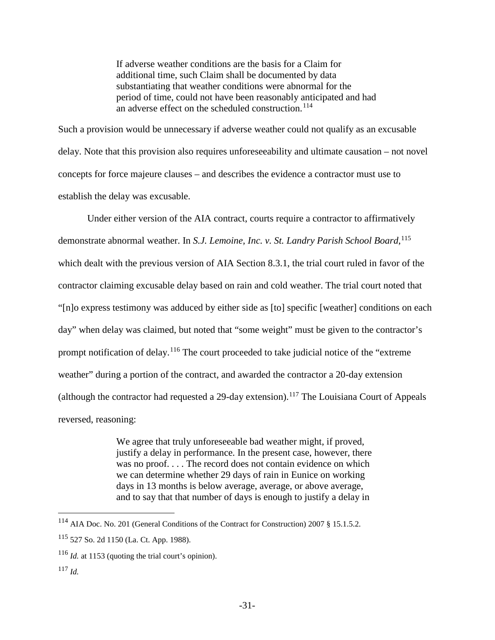<span id="page-30-4"></span>If adverse weather conditions are the basis for a Claim for additional time, such Claim shall be documented by data substantiating that weather conditions were abnormal for the period of time, could not have been reasonably anticipated and had an adverse effect on the scheduled construction.<sup>[114](#page-30-0)</sup>

Such a provision would be unnecessary if adverse weather could not qualify as an excusable delay. Note that this provision also requires unforeseeability and ultimate causation – not novel concepts for force majeure clauses – and describes the evidence a contractor must use to establish the delay was excusable.

Under either version of the AIA contract, courts require a contractor to affirmatively demonstrate abnormal weather. In *S.J. Lemoine, Inc. v. St. Landry Parish School Board*, [115](#page-30-1) which dealt with the previous version of AIA Section 8.3.1, the trial court ruled in favor of the contractor claiming excusable delay based on rain and cold weather. The trial court noted that "[n]o express testimony was adduced by either side as [to] specific [weather] conditions on each day" when delay was claimed, but noted that "some weight" must be given to the contractor's prompt notification of delay.<sup>[116](#page-30-2)</sup> The court proceeded to take judicial notice of the "extreme" weather" during a portion of the contract, and awarded the contractor a 20-day extension (although the contractor had requested a 29-day extension).<sup>[117](#page-30-3)</sup> The Louisiana Court of Appeals reversed, reasoning:

> We agree that truly unforeseeable bad weather might, if proved, justify a delay in performance. In the present case, however, there was no proof.... The record does not contain evidence on which we can determine whether 29 days of rain in Eunice on working days in 13 months is below average, average, or above average, and to say that that number of days is enough to justify a delay in

<span id="page-30-0"></span> <sup>114</sup> AIA Doc. No. 201 (General Conditions of the Contract for Construction) 2007 § 15.1.5.2.

<span id="page-30-1"></span><sup>115</sup> 527 So. 2d 1150 (La. Ct. App. 1988).

<span id="page-30-2"></span><sup>116</sup> *Id.* at 1153 (quoting the trial court's opinion).

<span id="page-30-3"></span><sup>117</sup> *Id.*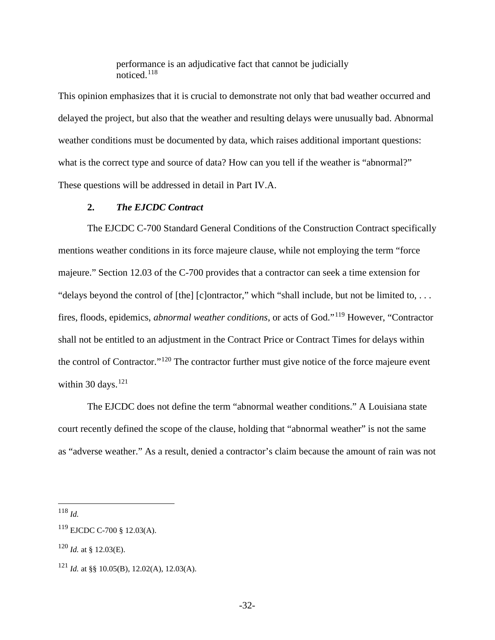<span id="page-31-5"></span>performance is an adjudicative fact that cannot be judicially noticed.[118](#page-31-1)

This opinion emphasizes that it is crucial to demonstrate not only that bad weather occurred and delayed the project, but also that the weather and resulting delays were unusually bad. Abnormal weather conditions must be documented by data, which raises additional important questions: what is the correct type and source of data? How can you tell if the weather is "abnormal?" These questions will be addressed in detail in Part IV.A.

#### <span id="page-31-0"></span>**2.** *The EJCDC Contract*

The EJCDC C-700 Standard General Conditions of the Construction Contract specifically mentions weather conditions in its force majeure clause, while not employing the term "force majeure." Section 12.03 of the C-700 provides that a contractor can seek a time extension for "delays beyond the control of [the] [c]ontractor," which "shall include, but not be limited to, . . . fires, floods, epidemics, *abnormal weather conditions*, or acts of God."[119](#page-31-2) However, "Contractor shall not be entitled to an adjustment in the Contract Price or Contract Times for delays within the control of Contractor."<sup>[120](#page-31-3)</sup> The contractor further must give notice of the force majeure event within 30 days. $121$ 

The EJCDC does not define the term "abnormal weather conditions." A Louisiana state court recently defined the scope of the clause, holding that "abnormal weather" is not the same as "adverse weather." As a result, denied a contractor's claim because the amount of rain was not

<span id="page-31-1"></span>118 *Id.*

<span id="page-31-2"></span><sup>119</sup> EJCDC C-700 § 12.03(A).

<span id="page-31-3"></span> $120$  *Id.* at § 12.03(E).

<span id="page-31-4"></span><sup>121</sup> *Id.* at §§ 10.05(B), 12.02(A), 12.03(A).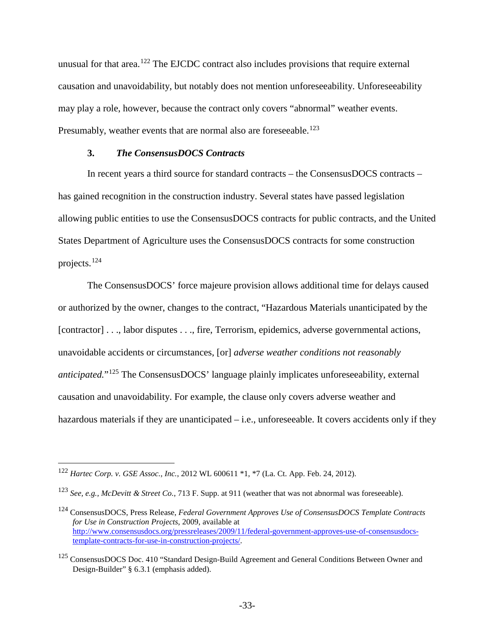unusual for that area.<sup>[122](#page-32-1)</sup> The EJCDC contract also includes provisions that require external causation and unavoidability, but notably does not mention unforeseeability. Unforeseeability may play a role, however, because the contract only covers "abnormal" weather events. Presumably, weather events that are normal also are foreseeable.<sup>[123](#page-32-2)</sup>

### <span id="page-32-0"></span>**3.** *The ConsensusDOCS Contracts*

In recent years a third source for standard contracts – the ConsensusDOCS contracts – has gained recognition in the construction industry. Several states have passed legislation allowing public entities to use the ConsensusDOCS contracts for public contracts, and the United States Department of Agriculture uses the ConsensusDOCS contracts for some construction projects.[124](#page-32-3)

The ConsensusDOCS' force majeure provision allows additional time for delays caused or authorized by the owner, changes to the contract, "Hazardous Materials unanticipated by the [contractor] . . ., labor disputes . . ., fire, Terrorism, epidemics, adverse governmental actions, unavoidable accidents or circumstances, [or] *adverse weather conditions not reasonably anticipated.*"[125](#page-32-4) The ConsensusDOCS' language plainly implicates unforeseeability, external causation and unavoidability. For example, the clause only covers adverse weather and hazardous materials if they are unanticipated – i.e., unforeseeable. It covers accidents only if they

<span id="page-32-1"></span> <sup>122</sup> *Hartec Corp. v. GSE Assoc., Inc.*, 2012 WL 600611 \*1, \*7 (La. Ct. App. Feb. 24, 2012).

<span id="page-32-2"></span><sup>123</sup> *See, e.g., McDevitt & Street Co.*, 713 F. Supp. at 911 (weather that was not abnormal was foreseeable).

<span id="page-32-3"></span><sup>124</sup> ConsensusDOCS, Press Release, *Federal Government Approves Use of ConsensusDOCS Template Contracts for Use in Construction Projects*, 2009, available at [http://www.consensusdocs.org/pressreleases/2009/11/federal-government-approves-use-of-consensusdocs](http://www.consensusdocs.org/pressreleases/2009/11/federal-government-approves-use-of-consensusdocs-template-contracts-for-use-in-construction-projects/)[template-contracts-for-use-in-construction-projects/.](http://www.consensusdocs.org/pressreleases/2009/11/federal-government-approves-use-of-consensusdocs-template-contracts-for-use-in-construction-projects/)

<span id="page-32-4"></span><sup>&</sup>lt;sup>125</sup> ConsensusDOCS Doc. 410 "Standard Design-Build Agreement and General Conditions Between Owner and Design-Builder" § 6.3.1 (emphasis added).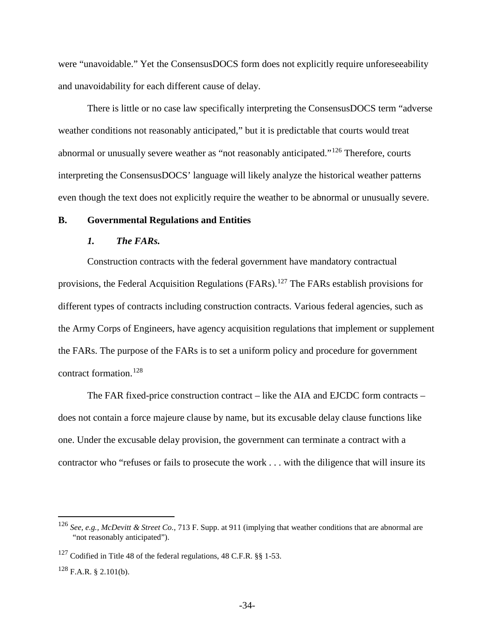were "unavoidable." Yet the ConsensusDOCS form does not explicitly require unforeseeability and unavoidability for each different cause of delay.

There is little or no case law specifically interpreting the ConsensusDOCS term "adverse weather conditions not reasonably anticipated," but it is predictable that courts would treat abnormal or unusually severe weather as "not reasonably anticipated."<sup>[126](#page-33-2)</sup> Therefore, courts interpreting the ConsensusDOCS' language will likely analyze the historical weather patterns even though the text does not explicitly require the weather to be abnormal or unusually severe.

## <span id="page-33-0"></span>**B. Governmental Regulations and Entities**

## <span id="page-33-5"></span><span id="page-33-1"></span>*1. The FARs.*

Construction contracts with the federal government have mandatory contractual provisions, the Federal Acquisition Regulations (FARs).<sup>[127](#page-33-3)</sup> The FARs establish provisions for different types of contracts including construction contracts. Various federal agencies, such as the Army Corps of Engineers, have agency acquisition regulations that implement or supplement the FARs. The purpose of the FARs is to set a uniform policy and procedure for government contract formation.[128](#page-33-4)

The FAR fixed-price construction contract – like the AIA and EJCDC form contracts – does not contain a force majeure clause by name, but its excusable delay clause functions like one. Under the excusable delay provision, the government can terminate a contract with a contractor who "refuses or fails to prosecute the work . . . with the diligence that will insure its

<span id="page-33-2"></span> <sup>126</sup> *See, e.g., McDevitt & Street Co.*, 713 F. Supp. at 911 (implying that weather conditions that are abnormal are "not reasonably anticipated").

<span id="page-33-3"></span> $127$  Codified in Title 48 of the federal regulations, 48 C.F.R. §§ 1-53.

<span id="page-33-4"></span> $128$  F.A.R. § 2.101(b).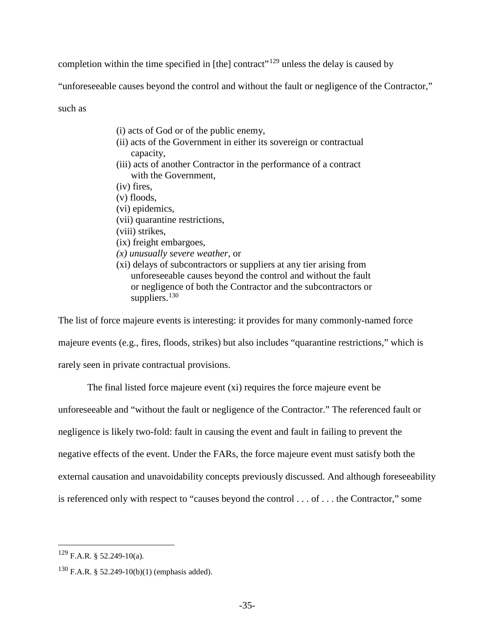completion within the time specified in [the] contract"<sup>[129](#page-34-0)</sup> unless the delay is caused by

"unforeseeable causes beyond the control and without the fault or negligence of the Contractor,"

such as

- (i) acts of God or of the public enemy,
- (ii) acts of the Government in either its sovereign or contractual capacity,
- (iii) acts of another Contractor in the performance of a contract with the Government,
- (iv) fires,
- (v) floods,
- (vi) epidemics,
- (vii) quarantine restrictions,
- (viii) strikes,
- (ix) freight embargoes,
- *(x) unusually severe weather,* or
- (xi) delays of subcontractors or suppliers at any tier arising from unforeseeable causes beyond the control and without the fault or negligence of both the Contractor and the subcontractors or suppliers. $130$

The list of force majeure events is interesting: it provides for many commonly-named force majeure events (e.g., fires, floods, strikes) but also includes "quarantine restrictions," which is rarely seen in private contractual provisions.

The final listed force majeure event (xi) requires the force majeure event be

unforeseeable and "without the fault or negligence of the Contractor." The referenced fault or

negligence is likely two-fold: fault in causing the event and fault in failing to prevent the

negative effects of the event. Under the FARs, the force majeure event must satisfy both the

external causation and unavoidability concepts previously discussed. And although foreseeability

is referenced only with respect to "causes beyond the control . . . of . . . the Contractor," some

<span id="page-34-0"></span> $^{129}$  F.A.R. § 52.249-10(a).

<span id="page-34-1"></span><sup>130</sup> F.A.R. § 52.249-10(b)(1) (emphasis added).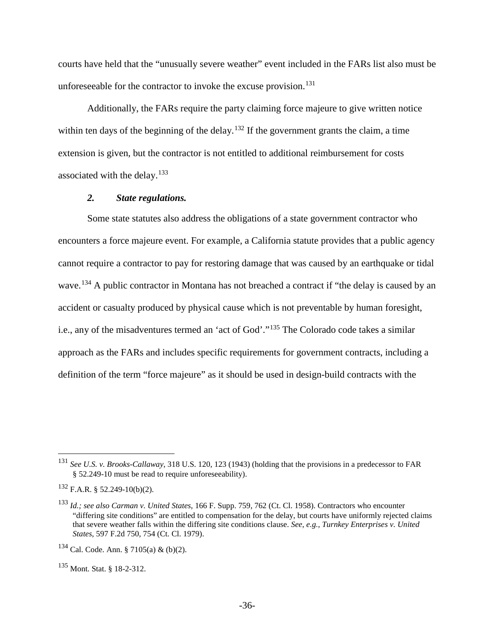courts have held that the "unusually severe weather" event included in the FARs list also must be unforeseeable for the contractor to invoke the excuse provision.<sup>[131](#page-35-1)</sup>

Additionally, the FARs require the party claiming force majeure to give written notice within ten days of the beginning of the delay.<sup>[132](#page-35-2)</sup> If the government grants the claim, a time extension is given, but the contractor is not entitled to additional reimbursement for costs associated with the delay. $133$ 

#### <span id="page-35-6"></span><span id="page-35-0"></span>*2. State regulations.*

Some state statutes also address the obligations of a state government contractor who encounters a force majeure event. For example, a California statute provides that a public agency cannot require a contractor to pay for restoring damage that was caused by an earthquake or tidal wave.<sup>[134](#page-35-4)</sup> A public contractor in Montana has not breached a contract if "the delay is caused by an accident or casualty produced by physical cause which is not preventable by human foresight, i.e., any of the misadventures termed an 'act of God'."[135](#page-35-5) The Colorado code takes a similar approach as the FARs and includes specific requirements for government contracts, including a definition of the term "force majeure" as it should be used in design-build contracts with the

<span id="page-35-1"></span> <sup>131</sup> *See U.S. v. Brooks-Callaway*, 318 U.S. 120, 123 (1943) (holding that the provisions in a predecessor to FAR § 52.249-10 must be read to require unforeseeability).

<span id="page-35-2"></span> $132$  F.A.R. § 52.249-10(b)(2).

<span id="page-35-3"></span><sup>133</sup> *Id.; see also Carman v. United States*, 166 F. Supp. 759, 762 (Ct. Cl. 1958). Contractors who encounter "differing site conditions" are entitled to compensation for the delay, but courts have uniformly rejected claims that severe weather falls within the differing site conditions clause. *See, e.g., Turnkey Enterprises v. United States*, 597 F.2d 750, 754 (Ct. Cl. 1979).

<span id="page-35-4"></span> $134$  Cal. Code. Ann. § 7105(a) & (b)(2).

<span id="page-35-5"></span><sup>135</sup> Mont. Stat. § 18-2-312.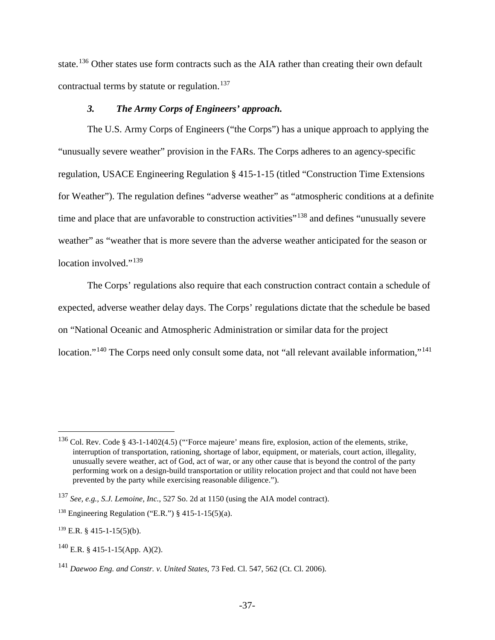state.[136](#page-36-1) Other states use form contracts such as the AIA rather than creating their own default contractual terms by statute or regulation. [137](#page-36-2)

# <span id="page-36-0"></span>*3. The Army Corps of Engineers' approach.*

The U.S. Army Corps of Engineers ("the Corps") has a unique approach to applying the "unusually severe weather" provision in the FARs. The Corps adheres to an agency-specific regulation, USACE Engineering Regulation § 415-1-15 (titled "Construction Time Extensions for Weather"). The regulation defines "adverse weather" as "atmospheric conditions at a definite time and place that are unfavorable to construction activities"<sup>[138](#page-36-3)</sup> and defines "unusually severe weather" as "weather that is more severe than the adverse weather anticipated for the season or location involved."<sup>[139](#page-36-4)</sup>

The Corps' regulations also require that each construction contract contain a schedule of expected, adverse weather delay days. The Corps' regulations dictate that the schedule be based on "National Oceanic and Atmospheric Administration or similar data for the project location."<sup>[140](#page-36-5)</sup> The Corps need only consult some data, not "all relevant available information,"<sup>[141](#page-36-6)</sup>

<span id="page-36-1"></span><sup>&</sup>lt;sup>136</sup> Col. Rev. Code § 43-1-1402(4.5) ("Force majeure' means fire, explosion, action of the elements, strike, interruption of transportation, rationing, shortage of labor, equipment, or materials, court action, illegality, unusually severe weather, act of God, act of war, or any other cause that is beyond the control of the party performing work on a design-build transportation or utility relocation project and that could not have been prevented by the party while exercising reasonable diligence.").

<span id="page-36-2"></span><sup>137</sup> *See, e.g., S.J. Lemoine, Inc.*, 527 So. 2d at 1150 (using the AIA model contract).

<span id="page-36-3"></span><sup>&</sup>lt;sup>138</sup> Engineering Regulation ("E.R.") § 415-1-15(5)(a).

<span id="page-36-4"></span> $139$  E.R. § 415-1-15(5)(b).

<span id="page-36-5"></span> $140$  E.R. § 415-1-15(App. A)(2).

<span id="page-36-6"></span><sup>141</sup> *Daewoo Eng. and Constr. v. United States*, 73 Fed. Cl. 547, 562 (Ct. Cl. 2006).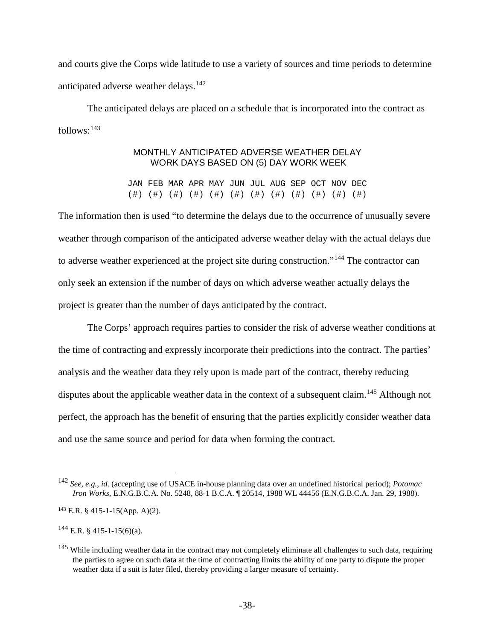and courts give the Corps wide latitude to use a variety of sources and time periods to determine anticipated adverse weather delays.<sup>[142](#page-37-0)</sup>

The anticipated delays are placed on a schedule that is incorporated into the contract as  $follows: <sup>143</sup>$  $follows: <sup>143</sup>$  $follows: <sup>143</sup>$ 

## MONTHLY ANTICIPATED ADVERSE WEATHER DELAY WORK DAYS BASED ON (5) DAY WORK WEEK

JAN FEB MAR APR MAY JUN JUL AUG SEP OCT NOV DEC (#) (#) (#) (#) (#) (#) (#) (#) (#) (#) (#) (#)

The information then is used "to determine the delays due to the occurrence of unusually severe weather through comparison of the anticipated adverse weather delay with the actual delays due to adverse weather experienced at the project site during construction."[144](#page-37-2) The contractor can only seek an extension if the number of days on which adverse weather actually delays the project is greater than the number of days anticipated by the contract.

The Corps' approach requires parties to consider the risk of adverse weather conditions at the time of contracting and expressly incorporate their predictions into the contract. The parties' analysis and the weather data they rely upon is made part of the contract, thereby reducing disputes about the applicable weather data in the context of a subsequent claim.<sup>[145](#page-37-3)</sup> Although not perfect, the approach has the benefit of ensuring that the parties explicitly consider weather data and use the same source and period for data when forming the contract.

<span id="page-37-2"></span> $144$  E.R. § 415-1-15(6)(a).

<span id="page-37-0"></span> <sup>142</sup> *See, e.g., id.* (accepting use of USACE in-house planning data over an undefined historical period); *Potomac Iron Works*, E.N.G.B.C.A. No. 5248, 88-1 B.C.A. ¶ 20514, 1988 WL 44456 (E.N.G.B.C.A. Jan. 29, 1988).

<span id="page-37-1"></span> $^{143}$  E.R. § 415-1-15(App. A)(2).

<span id="page-37-3"></span> $145$  While including weather data in the contract may not completely eliminate all challenges to such data, requiring the parties to agree on such data at the time of contracting limits the ability of one party to dispute the proper weather data if a suit is later filed, thereby providing a larger measure of certainty.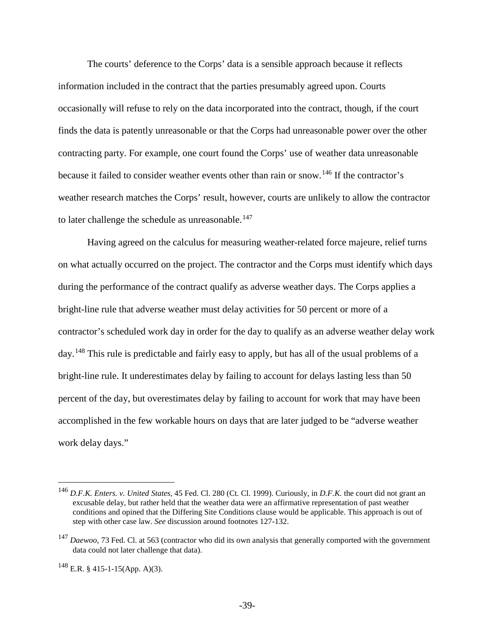The courts' deference to the Corps' data is a sensible approach because it reflects information included in the contract that the parties presumably agreed upon. Courts occasionally will refuse to rely on the data incorporated into the contract, though, if the court finds the data is patently unreasonable or that the Corps had unreasonable power over the other contracting party. For example, one court found the Corps' use of weather data unreasonable because it failed to consider weather events other than rain or snow.<sup>[146](#page-38-0)</sup> If the contractor's weather research matches the Corps' result, however, courts are unlikely to allow the contractor to later challenge the schedule as unreasonable. $147$ 

Having agreed on the calculus for measuring weather-related force majeure, relief turns on what actually occurred on the project. The contractor and the Corps must identify which days during the performance of the contract qualify as adverse weather days. The Corps applies a bright-line rule that adverse weather must delay activities for 50 percent or more of a contractor's scheduled work day in order for the day to qualify as an adverse weather delay work day.<sup>[148](#page-38-2)</sup> This rule is predictable and fairly easy to apply, but has all of the usual problems of a bright-line rule. It underestimates delay by failing to account for delays lasting less than 50 percent of the day, but overestimates delay by failing to account for work that may have been accomplished in the few workable hours on days that are later judged to be "adverse weather work delay days."

<span id="page-38-0"></span> <sup>146</sup> *D.F.K. Enters. v. United States*, 45 Fed. Cl. 280 (Ct. Cl. 1999). Curiously, in *D.F.K.* the court did not grant an excusable delay, but rather held that the weather data were an affirmative representation of past weather conditions and opined that the Differing Site Conditions clause would be applicable. This approach is out of step with other case law. *See* discussion around footnote[s 127-](#page-33-5)[132.](#page-35-6)

<span id="page-38-1"></span><sup>&</sup>lt;sup>147</sup> *Daewoo*, 73 Fed. Cl. at 563 (contractor who did its own analysis that generally comported with the government data could not later challenge that data).

<span id="page-38-2"></span><sup>148</sup> E.R. § 415-1-15(App. A)(3).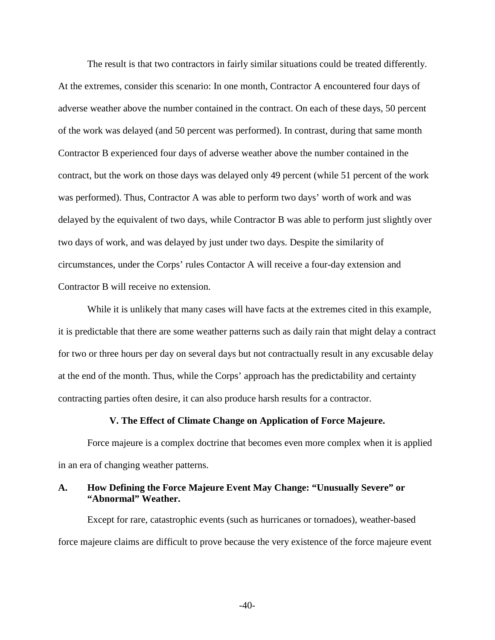The result is that two contractors in fairly similar situations could be treated differently. At the extremes, consider this scenario: In one month, Contractor A encountered four days of adverse weather above the number contained in the contract. On each of these days, 50 percent of the work was delayed (and 50 percent was performed). In contrast, during that same month Contractor B experienced four days of adverse weather above the number contained in the contract, but the work on those days was delayed only 49 percent (while 51 percent of the work was performed). Thus, Contractor A was able to perform two days' worth of work and was delayed by the equivalent of two days, while Contractor B was able to perform just slightly over two days of work, and was delayed by just under two days. Despite the similarity of circumstances, under the Corps' rules Contactor A will receive a four-day extension and Contractor B will receive no extension.

While it is unlikely that many cases will have facts at the extremes cited in this example, it is predictable that there are some weather patterns such as daily rain that might delay a contract for two or three hours per day on several days but not contractually result in any excusable delay at the end of the month. Thus, while the Corps' approach has the predictability and certainty contracting parties often desire, it can also produce harsh results for a contractor.

#### **V. The Effect of Climate Change on Application of Force Majeure.**

<span id="page-39-0"></span>Force majeure is a complex doctrine that becomes even more complex when it is applied in an era of changing weather patterns.

## <span id="page-39-1"></span>**A. How Defining the Force Majeure Event May Change: "Unusually Severe" or "Abnormal" Weather.**

Except for rare, catastrophic events (such as hurricanes or tornadoes), weather-based force majeure claims are difficult to prove because the very existence of the force majeure event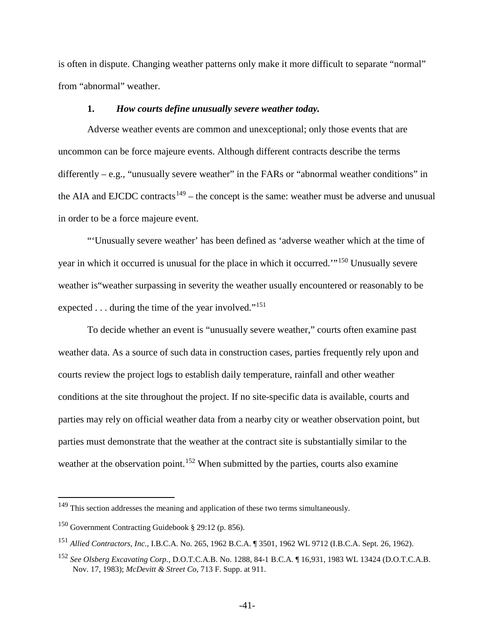is often in dispute. Changing weather patterns only make it more difficult to separate "normal" from "abnormal" weather.

#### <span id="page-40-0"></span>**1.** *How courts define unusually severe weather today.*

Adverse weather events are common and unexceptional; only those events that are uncommon can be force majeure events. Although different contracts describe the terms differently – e.g., "unusually severe weather" in the FARs or "abnormal weather conditions" in the AIA and EJCDC contracts<sup>[149](#page-40-1)</sup> – the concept is the same: weather must be adverse and unusual in order to be a force majeure event.

"'Unusually severe weather' has been defined as 'adverse weather which at the time of year in which it occurred is unusual for the place in which it occurred.'"[150](#page-40-2) Unusually severe weather is"weather surpassing in severity the weather usually encountered or reasonably to be expected  $\dots$  during the time of the year involved."<sup>[151](#page-40-3)</sup>

To decide whether an event is "unusually severe weather," courts often examine past weather data. As a source of such data in construction cases, parties frequently rely upon and courts review the project logs to establish daily temperature, rainfall and other weather conditions at the site throughout the project. If no site-specific data is available, courts and parties may rely on official weather data from a nearby city or weather observation point, but parties must demonstrate that the weather at the contract site is substantially similar to the weather at the observation point.<sup>[152](#page-40-4)</sup> When submitted by the parties, courts also examine

<span id="page-40-1"></span><sup>&</sup>lt;sup>149</sup> This section addresses the meaning and application of these two terms simultaneously.

<span id="page-40-2"></span><sup>150</sup> Government Contracting Guidebook § 29:12 (p. 856).

<span id="page-40-3"></span><sup>151</sup> *Allied Contractors, Inc.*, I.B.C.A. No. 265, 1962 B.C.A. ¶ 3501, 1962 WL 9712 (I.B.C.A. Sept. 26, 1962).

<span id="page-40-4"></span><sup>152</sup> *See Olsberg Excavating Corp.*, D.O.T.C.A.B. No. 1288, 84-1 B.C.A. ¶ 16,931, 1983 WL 13424 (D.O.T.C.A.B. Nov. 17, 1983); *McDevitt & Street Co*, 713 F. Supp. at 911.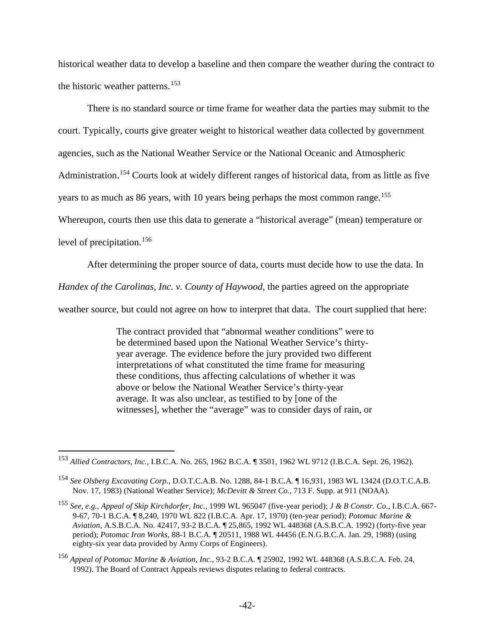historical weather data to develop a baseline and then compare the weather during the contract to the historic weather patterns.<sup>[153](#page-41-0)</sup>

There is no standard source or time frame for weather data the parties may submit to the court. Typically, courts give greater weight to historical weather data collected by government agencies, such as the National Weather Service or the National Oceanic and Atmospheric Administration.[154](#page-41-1) Courts look at widely different ranges of historical data, from as little as five years to as much as 86 years, with 10 years being perhaps the most common range.<sup>[155](#page-41-2)</sup> Whereupon, courts then use this data to generate a "historical average" (mean) temperature or level of precipitation. [156](#page-41-3)

After determining the proper source of data, courts must decide how to use the data. In

*Handex of the Carolinas, Inc. v. County of Haywood*, the parties agreed on the appropriate

weather source, but could not agree on how to interpret that data. The court supplied that here:

The contract provided that "abnormal weather conditions" were to be determined based upon the National Weather Service's thirtyyear average. The evidence before the jury provided two different interpretations of what constituted the time frame for measuring these conditions, thus affecting calculations of whether it was above or below the National Weather Service's thirty-year average. It was also unclear, as testified to by [one of the witnesses], whether the "average" was to consider days of rain, or

<span id="page-41-0"></span> <sup>153</sup> *Allied Contractors, Inc.*, I.B.C.A. No. 265, 1962 B.C.A. ¶ 3501, 1962 WL 9712 (I.B.C.A. Sept. 26, 1962).

<span id="page-41-1"></span><sup>154</sup> *See Olsberg Excavating Corp.*, D.O.T.C.A.B. No. 1288, 84-1 B.C.A. ¶ 16,931, 1983 WL 13424 (D.O.T.C.A.B. Nov. 17, 1983) (National Weather Service); *McDevitt & Street Co.*, 713 F. Supp. at 911 (NOAA).

<span id="page-41-2"></span><sup>155</sup> *See, e.g., Appeal of Skip Kirchdorfer, Inc.,* 1999 WL 965047 (five-year period); *J & B Constr. Co.*, I.B.C.A. 667- 9-67, 70-1 B.C.A. ¶ 8,240, 1970 WL 822 (I.B.C.A. Apr. 17, 1970) (ten-year period); *Potomac Marine & Aviation*, A.S.B.C.A. No. 42417, 93-2 B.C.A. ¶ 25,865, 1992 WL 448368 (A.S.B.C.A. 1992) (forty-five year period); *Potomac Iron Works*, 88-1 B.C.A. ¶ 20511, 1988 WL 44456 (E.N.G.B.C.A. Jan. 29, 1988) (using eighty-six year data provided by Army Corps of Engineers).

<span id="page-41-3"></span><sup>156</sup> *Appeal of Potomac Marine & Aviation, Inc.*, 93-2 B.C.A. ¶ 25902, 1992 WL 448368 (A.S.B.C.A. Feb. 24, 1992). The Board of Contract Appeals reviews disputes relating to federal contracts.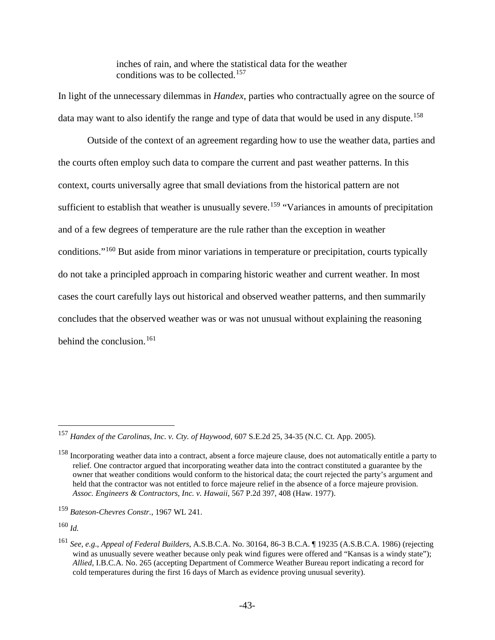inches of rain, and where the statistical data for the weather conditions was to be collected.[157](#page-42-0)

In light of the unnecessary dilemmas in *Handex*, parties who contractually agree on the source of data may want to also identify the range and type of data that would be used in any dispute.<sup>[158](#page-42-1)</sup>

Outside of the context of an agreement regarding how to use the weather data, parties and the courts often employ such data to compare the current and past weather patterns. In this context, courts universally agree that small deviations from the historical pattern are not sufficient to establish that weather is unusually severe.<sup>[159](#page-42-2)</sup> "Variances in amounts of precipitation and of a few degrees of temperature are the rule rather than the exception in weather conditions."[160](#page-42-3) But aside from minor variations in temperature or precipitation, courts typically do not take a principled approach in comparing historic weather and current weather. In most cases the court carefully lays out historical and observed weather patterns, and then summarily concludes that the observed weather was or was not unusual without explaining the reasoning behind the conclusion. [161](#page-42-4)

<span id="page-42-0"></span> <sup>157</sup> *Handex of the Carolinas, Inc. v. Cty. of Haywood*, 607 S.E.2d 25, 34-35 (N.C. Ct. App. 2005).

<span id="page-42-1"></span><sup>&</sup>lt;sup>158</sup> Incorporating weather data into a contract, absent a force majeure clause, does not automatically entitle a party to relief. One contractor argued that incorporating weather data into the contract constituted a guarantee by the owner that weather conditions would conform to the historical data; the court rejected the party's argument and held that the contractor was not entitled to force majeure relief in the absence of a force majeure provision. *Assoc. Engineers & Contractors, Inc. v. Hawaii*, 567 P.2d 397, 408 (Haw. 1977).

<span id="page-42-2"></span><sup>159</sup> *Bateson-Chevres Constr.*, 1967 WL 241.

<span id="page-42-3"></span><sup>160</sup> *Id.*

<span id="page-42-4"></span><sup>161</sup> *See, e.g*., *Appeal of Federal Builders*, A.S.B.C.A. No. 30164, 86-3 B.C.A. ¶ 19235 (A.S.B.C.A. 1986) (rejecting wind as unusually severe weather because only peak wind figures were offered and "Kansas is a windy state"); *Allied*, I.B.C.A. No. 265 (accepting Department of Commerce Weather Bureau report indicating a record for cold temperatures during the first 16 days of March as evidence proving unusual severity).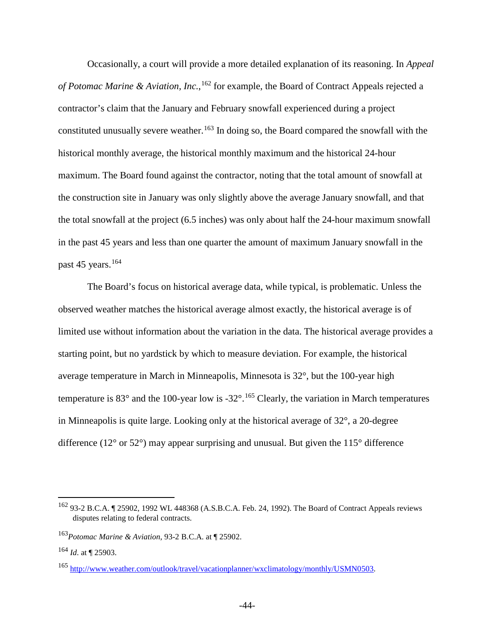Occasionally, a court will provide a more detailed explanation of its reasoning. In *Appeal*  of Potomac Marine & Aviation, Inc., <sup>[162](#page-43-0)</sup> for example, the Board of Contract Appeals rejected a contractor's claim that the January and February snowfall experienced during a project constituted unusually severe weather.<sup>[163](#page-43-1)</sup> In doing so, the Board compared the snowfall with the historical monthly average, the historical monthly maximum and the historical 24-hour maximum. The Board found against the contractor, noting that the total amount of snowfall at the construction site in January was only slightly above the average January snowfall, and that the total snowfall at the project (6.5 inches) was only about half the 24-hour maximum snowfall in the past 45 years and less than one quarter the amount of maximum January snowfall in the past 45 years. $164$ 

The Board's focus on historical average data, while typical, is problematic. Unless the observed weather matches the historical average almost exactly, the historical average is of limited use without information about the variation in the data. The historical average provides a starting point, but no yardstick by which to measure deviation. For example, the historical average temperature in March in Minneapolis, Minnesota is 32°, but the 100-year high temperature is  $83^\circ$  and the 100-year low is -32 $^\circ$ .<sup>[165](#page-43-3)</sup> Clearly, the variation in March temperatures in Minneapolis is quite large. Looking only at the historical average of 32°, a 20-degree difference ( $12^{\circ}$  or  $52^{\circ}$ ) may appear surprising and unusual. But given the  $115^{\circ}$  difference

<span id="page-43-0"></span> <sup>162</sup> 93-2 B.C.A. ¶ 25902, 1992 WL 448368 (A.S.B.C.A. Feb. 24, 1992). The Board of Contract Appeals reviews disputes relating to federal contracts.

<span id="page-43-1"></span><sup>163</sup>*Potomac Marine & Aviation*, 93-2 B.C.A. at ¶ 25902.

<span id="page-43-2"></span><sup>164</sup> *Id*. at ¶ 25903.

<span id="page-43-3"></span><sup>165</sup> [http://www.weather.com/outlook/travel/vacationplanner/wxclimatology/monthly/USMN0503.](http://www.weather.com/outlook/travel/vacationplanner/wxclimatology/monthly/USMN0503)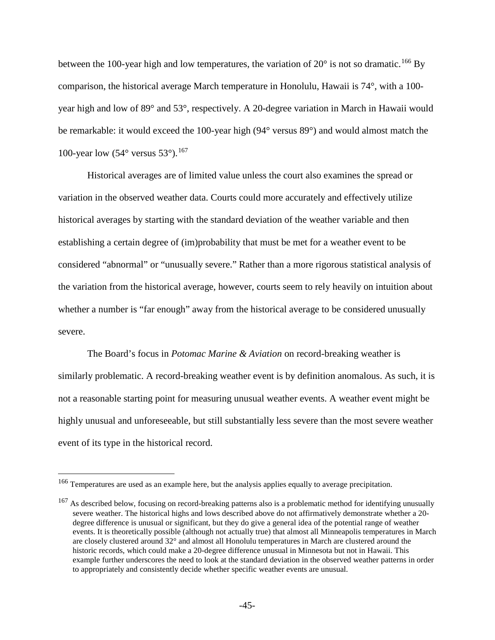between the 100-year high and low temperatures, the variation of  $20^{\circ}$  is not so dramatic.<sup>[166](#page-44-0)</sup> By comparison, the historical average March temperature in Honolulu, Hawaii is 74°, with a 100 year high and low of 89° and 53°, respectively. A 20-degree variation in March in Hawaii would be remarkable: it would exceed the 100-year high (94° versus 89°) and would almost match the 100-year low  $(54^{\circ}$  versus  $53^{\circ}$ ).<sup>[167](#page-44-1)</sup>

Historical averages are of limited value unless the court also examines the spread or variation in the observed weather data. Courts could more accurately and effectively utilize historical averages by starting with the standard deviation of the weather variable and then establishing a certain degree of (im)probability that must be met for a weather event to be considered "abnormal" or "unusually severe." Rather than a more rigorous statistical analysis of the variation from the historical average, however, courts seem to rely heavily on intuition about whether a number is "far enough" away from the historical average to be considered unusually severe.

The Board's focus in *Potomac Marine & Aviation* on record-breaking weather is similarly problematic. A record-breaking weather event is by definition anomalous. As such, it is not a reasonable starting point for measuring unusual weather events. A weather event might be highly unusual and unforeseeable, but still substantially less severe than the most severe weather event of its type in the historical record.

<span id="page-44-0"></span> <sup>166</sup> Temperatures are used as an example here, but the analysis applies equally to average precipitation.

<span id="page-44-1"></span><sup>&</sup>lt;sup>167</sup> As described below, focusing on record-breaking patterns also is a problematic method for identifying unusually severe weather. The historical highs and lows described above do not affirmatively demonstrate whether a 20 degree difference is unusual or significant, but they do give a general idea of the potential range of weather events. It is theoretically possible (although not actually true) that almost all Minneapolis temperatures in March are closely clustered around 32° and almost all Honolulu temperatures in March are clustered around the historic records, which could make a 20-degree difference unusual in Minnesota but not in Hawaii. This example further underscores the need to look at the standard deviation in the observed weather patterns in order to appropriately and consistently decide whether specific weather events are unusual.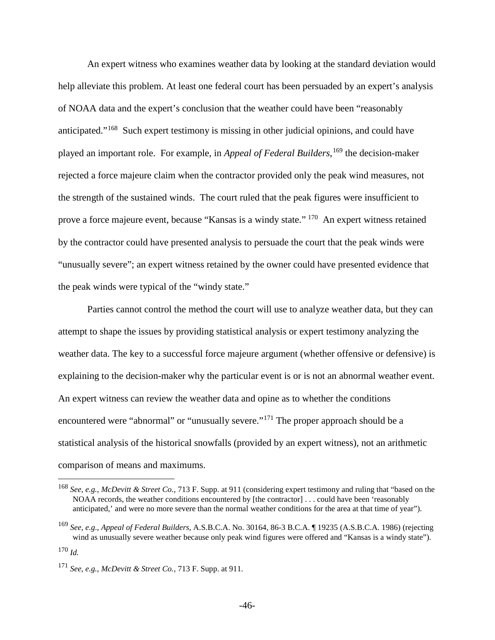An expert witness who examines weather data by looking at the standard deviation would help alleviate this problem. At least one federal court has been persuaded by an expert's analysis of NOAA data and the expert's conclusion that the weather could have been "reasonably anticipated."[168](#page-45-0) Such expert testimony is missing in other judicial opinions, and could have played an important role. For example, in *Appeal of Federal Builders*, [169](#page-45-1) the decision-maker rejected a force majeure claim when the contractor provided only the peak wind measures, not the strength of the sustained winds. The court ruled that the peak figures were insufficient to prove a force majeure event, because "Kansas is a windy state." [170](#page-45-2) An expert witness retained by the contractor could have presented analysis to persuade the court that the peak winds were "unusually severe"; an expert witness retained by the owner could have presented evidence that the peak winds were typical of the "windy state."

Parties cannot control the method the court will use to analyze weather data, but they can attempt to shape the issues by providing statistical analysis or expert testimony analyzing the weather data. The key to a successful force majeure argument (whether offensive or defensive) is explaining to the decision-maker why the particular event is or is not an abnormal weather event. An expert witness can review the weather data and opine as to whether the conditions encountered were "abnormal" or "unusually severe."[171](#page-45-3) The proper approach should be a statistical analysis of the historical snowfalls (provided by an expert witness), not an arithmetic comparison of means and maximums.

<span id="page-45-0"></span> <sup>168</sup> *See, e.g.*, *McDevitt & Street Co.*, 713 F. Supp. at 911 (considering expert testimony and ruling that "based on the NOAA records, the weather conditions encountered by [the contractor] . . . could have been 'reasonably anticipated,' and were no more severe than the normal weather conditions for the area at that time of year").

<span id="page-45-1"></span><sup>169</sup> *See, e.g*., *Appeal of Federal Builders*, A.S.B.C.A. No. 30164, 86-3 B.C.A. ¶ 19235 (A.S.B.C.A. 1986) (rejecting wind as unusually severe weather because only peak wind figures were offered and "Kansas is a windy state"). <sup>170</sup> *Id.*

<span id="page-45-3"></span><span id="page-45-2"></span><sup>171</sup> *See, e.g.*, *McDevitt & Street Co.*, 713 F. Supp. at 911.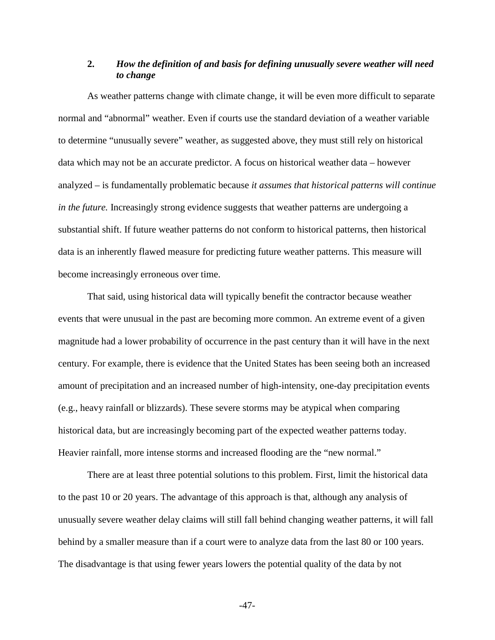# <span id="page-46-0"></span>**2.** *How the definition of and basis for defining unusually severe weather will need to change*

As weather patterns change with climate change, it will be even more difficult to separate normal and "abnormal" weather. Even if courts use the standard deviation of a weather variable to determine "unusually severe" weather, as suggested above, they must still rely on historical data which may not be an accurate predictor. A focus on historical weather data – however analyzed – is fundamentally problematic because *it assumes that historical patterns will continue in the future.* Increasingly strong evidence suggests that weather patterns are undergoing a substantial shift. If future weather patterns do not conform to historical patterns, then historical data is an inherently flawed measure for predicting future weather patterns. This measure will become increasingly erroneous over time.

That said, using historical data will typically benefit the contractor because weather events that were unusual in the past are becoming more common. An extreme event of a given magnitude had a lower probability of occurrence in the past century than it will have in the next century. For example, there is evidence that the United States has been seeing both an increased amount of precipitation and an increased number of high-intensity, one-day precipitation events (e.g., heavy rainfall or blizzards). These severe storms may be atypical when comparing historical data, but are increasingly becoming part of the expected weather patterns today. Heavier rainfall, more intense storms and increased flooding are the "new normal."

There are at least three potential solutions to this problem. First, limit the historical data to the past 10 or 20 years. The advantage of this approach is that, although any analysis of unusually severe weather delay claims will still fall behind changing weather patterns, it will fall behind by a smaller measure than if a court were to analyze data from the last 80 or 100 years. The disadvantage is that using fewer years lowers the potential quality of the data by not

-47-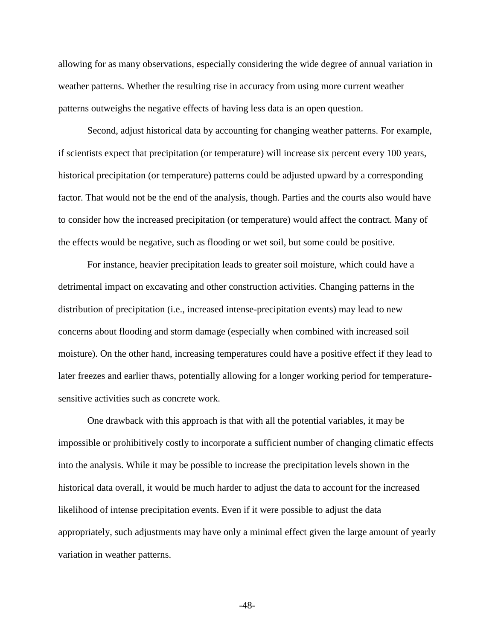allowing for as many observations, especially considering the wide degree of annual variation in weather patterns. Whether the resulting rise in accuracy from using more current weather patterns outweighs the negative effects of having less data is an open question.

Second, adjust historical data by accounting for changing weather patterns. For example, if scientists expect that precipitation (or temperature) will increase six percent every 100 years, historical precipitation (or temperature) patterns could be adjusted upward by a corresponding factor. That would not be the end of the analysis, though. Parties and the courts also would have to consider how the increased precipitation (or temperature) would affect the contract. Many of the effects would be negative, such as flooding or wet soil, but some could be positive.

For instance, heavier precipitation leads to greater soil moisture, which could have a detrimental impact on excavating and other construction activities. Changing patterns in the distribution of precipitation (i.e., increased intense-precipitation events) may lead to new concerns about flooding and storm damage (especially when combined with increased soil moisture). On the other hand, increasing temperatures could have a positive effect if they lead to later freezes and earlier thaws, potentially allowing for a longer working period for temperaturesensitive activities such as concrete work.

One drawback with this approach is that with all the potential variables, it may be impossible or prohibitively costly to incorporate a sufficient number of changing climatic effects into the analysis. While it may be possible to increase the precipitation levels shown in the historical data overall, it would be much harder to adjust the data to account for the increased likelihood of intense precipitation events. Even if it were possible to adjust the data appropriately, such adjustments may have only a minimal effect given the large amount of yearly variation in weather patterns.

-48-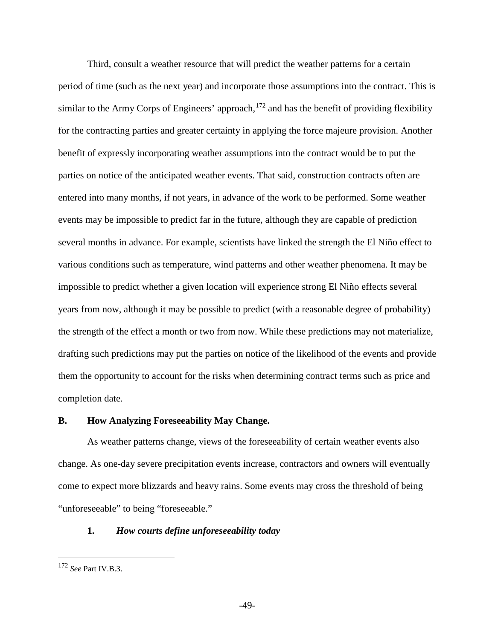Third, consult a weather resource that will predict the weather patterns for a certain period of time (such as the next year) and incorporate those assumptions into the contract. This is similar to the Army Corps of Engineers' approach,  $172$  and has the benefit of providing flexibility for the contracting parties and greater certainty in applying the force majeure provision. Another benefit of expressly incorporating weather assumptions into the contract would be to put the parties on notice of the anticipated weather events. That said, construction contracts often are entered into many months, if not years, in advance of the work to be performed. Some weather events may be impossible to predict far in the future, although they are capable of prediction several months in advance. For example, scientists have linked the strength the El Niño effect to various conditions such as temperature, wind patterns and other weather phenomena. It may be impossible to predict whether a given location will experience strong El Niño effects several years from now, although it may be possible to predict (with a reasonable degree of probability) the strength of the effect a month or two from now. While these predictions may not materialize, drafting such predictions may put the parties on notice of the likelihood of the events and provide them the opportunity to account for the risks when determining contract terms such as price and completion date.

#### <span id="page-48-0"></span>**B. How Analyzing Foreseeability May Change.**

As weather patterns change, views of the foreseeability of certain weather events also change. As one-day severe precipitation events increase, contractors and owners will eventually come to expect more blizzards and heavy rains. Some events may cross the threshold of being "unforeseeable" to being "foreseeable."

## <span id="page-48-1"></span>**1.** *How courts define unforeseeability today*

<span id="page-48-2"></span> <sup>172</sup> *See* Part IV.B.3.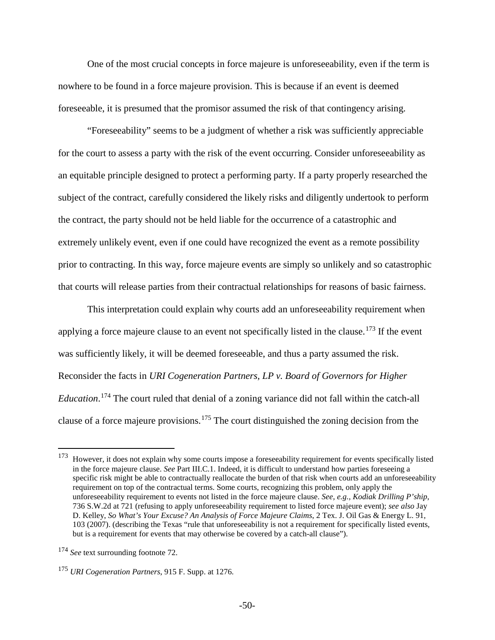One of the most crucial concepts in force majeure is unforeseeability, even if the term is nowhere to be found in a force majeure provision. This is because if an event is deemed foreseeable, it is presumed that the promisor assumed the risk of that contingency arising.

"Foreseeability" seems to be a judgment of whether a risk was sufficiently appreciable for the court to assess a party with the risk of the event occurring. Consider unforeseeability as an equitable principle designed to protect a performing party. If a party properly researched the subject of the contract, carefully considered the likely risks and diligently undertook to perform the contract, the party should not be held liable for the occurrence of a catastrophic and extremely unlikely event, even if one could have recognized the event as a remote possibility prior to contracting. In this way, force majeure events are simply so unlikely and so catastrophic that courts will release parties from their contractual relationships for reasons of basic fairness.

This interpretation could explain why courts add an unforeseeability requirement when applying a force majeure clause to an event not specifically listed in the clause.<sup>[173](#page-49-0)</sup> If the event was sufficiently likely, it will be deemed foreseeable, and thus a party assumed the risk. Reconsider the facts in *URI Cogeneration Partners, LP v. Board of Governors for Higher Education*. [174](#page-49-1) The court ruled that denial of a zoning variance did not fall within the catch-all clause of a force majeure provisions.[175](#page-49-2) The court distinguished the zoning decision from the

<span id="page-49-0"></span><sup>&</sup>lt;sup>173</sup> However, it does not explain why some courts impose a foreseeability requirement for events specifically listed in the force majeure clause. *See* Part III.C.1. Indeed, it is difficult to understand how parties foreseeing a specific risk might be able to contractually reallocate the burden of that risk when courts add an unforeseeability requirement on top of the contractual terms. Some courts, recognizing this problem, only apply the unforeseeability requirement to events not listed in the force majeure clause. *See, e.g., Kodiak Drilling P'ship*, 736 S.W.2d at 721 (refusing to apply unforeseeability requirement to listed force majeure event); *see also* Jay D. Kelley, *So What's Your Excuse? An Analysis of Force Majeure Claims*, 2 Tex. J. Oil Gas & Energy L. 91, 103 (2007). (describing the Texas "rule that unforeseeability is not a requirement for specifically listed events, but is a requirement for events that may otherwise be covered by a catch-all clause").

<span id="page-49-1"></span><sup>174</sup> *See* text surrounding footnote [72.](#page-19-5)

<span id="page-49-2"></span><sup>175</sup> *URI Cogeneration Partners*, 915 F. Supp. at 1276.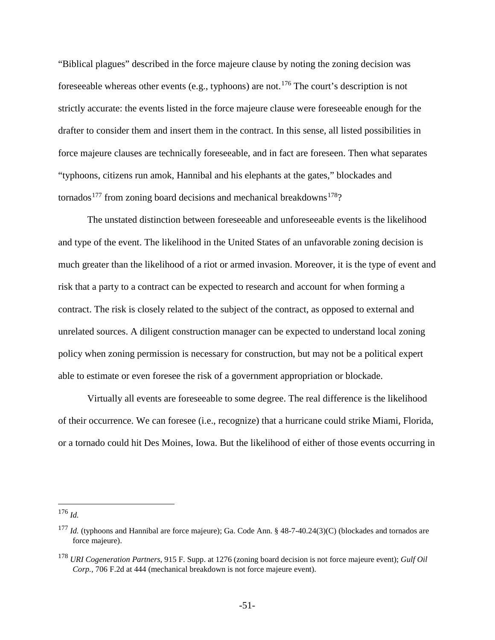"Biblical plagues" described in the force majeure clause by noting the zoning decision was foreseeable whereas other events (e.g., typhoons) are not.[176](#page-50-0) The court's description is not strictly accurate: the events listed in the force majeure clause were foreseeable enough for the drafter to consider them and insert them in the contract. In this sense, all listed possibilities in force majeure clauses are technically foreseeable, and in fact are foreseen. Then what separates "typhoons, citizens run amok, Hannibal and his elephants at the gates," blockades and tornados<sup>[177](#page-50-1)</sup> from zoning board decisions and mechanical breakdowns<sup>178</sup>?

The unstated distinction between foreseeable and unforeseeable events is the likelihood and type of the event. The likelihood in the United States of an unfavorable zoning decision is much greater than the likelihood of a riot or armed invasion. Moreover, it is the type of event and risk that a party to a contract can be expected to research and account for when forming a contract. The risk is closely related to the subject of the contract, as opposed to external and unrelated sources. A diligent construction manager can be expected to understand local zoning policy when zoning permission is necessary for construction, but may not be a political expert able to estimate or even foresee the risk of a government appropriation or blockade.

Virtually all events are foreseeable to some degree. The real difference is the likelihood of their occurrence. We can foresee (i.e., recognize) that a hurricane could strike Miami, Florida, or a tornado could hit Des Moines, Iowa. But the likelihood of either of those events occurring in

<span id="page-50-0"></span> <sup>176</sup> *Id.*

<span id="page-50-1"></span><sup>177</sup> *Id.* (typhoons and Hannibal are force majeure); Ga. Code Ann. § 48-7-40.24(3)(C) (blockades and tornados are force majeure).

<span id="page-50-2"></span><sup>178</sup> *URI Cogeneration Partners*, 915 F. Supp. at 1276 (zoning board decision is not force majeure event); *Gulf Oil Corp.,* 706 F.2d at 444 (mechanical breakdown is not force majeure event).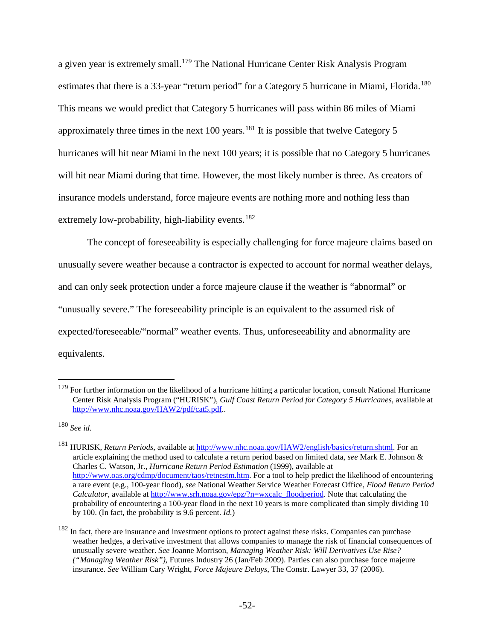a given year is extremely small.[179](#page-51-0) The National Hurricane Center Risk Analysis Program estimates that there is a 33-year "return period" for a Category 5 hurricane in Miami, Florida.<sup>[180](#page-51-1)</sup> This means we would predict that Category 5 hurricanes will pass within 86 miles of Miami approximately three times in the next 100 years.<sup>[181](#page-51-2)</sup> It is possible that twelve Category 5 hurricanes will hit near Miami in the next 100 years; it is possible that no Category 5 hurricanes will hit near Miami during that time. However, the most likely number is three. As creators of insurance models understand, force majeure events are nothing more and nothing less than extremely low-probability, high-liability events.<sup>[182](#page-51-3)</sup>

The concept of foreseeability is especially challenging for force majeure claims based on unusually severe weather because a contractor is expected to account for normal weather delays, and can only seek protection under a force majeure clause if the weather is "abnormal" or "unusually severe." The foreseeability principle is an equivalent to the assumed risk of expected/foreseeable/"normal" weather events. Thus, unforeseeability and abnormality are equivalents.

<span id="page-51-0"></span> $179$  For further information on the likelihood of a hurricane hitting a particular location, consult National Hurricane Center Risk Analysis Program ("HURISK"), *Gulf Coast Return Period for Category 5 Hurricanes*, available at [http://www.nhc.noaa.gov/HAW2/pdf/cat5.pdf..](http://www.nhc.noaa.gov/HAW2/pdf/cat5.pdf)

<span id="page-51-1"></span><sup>180</sup> *See id.*

<span id="page-51-2"></span><sup>181</sup> HURISK, *Return Periods*, available at [http://www.nhc.noaa.gov/HAW2/english/basics/return.shtml.](http://www.nhc.noaa.gov/HAW2/english/basics/return.shtml) For an article explaining the method used to calculate a return period based on limited data, *see* Mark E. Johnson & Charles C. Watson, Jr., *Hurricane Return Period Estimation* (1999), available at [http://www.oas.org/cdmp/document/taos/retnestm.htm.](http://www.oas.org/cdmp/document/taos/retnestm.htm) For a tool to help predict the likelihood of encountering a rare event (e.g., 100-year flood), *see* National Weather Service Weather Forecast Office, *Flood Return Period Calculator*, available a[t http://www.srh.noaa.gov/epz/?n=wxcalc\\_floodperiod.](http://www.srh.noaa.gov/epz/?n=wxcalc_floodperiod) Note that calculating the probability of encountering a 100-year flood in the next 10 years is more complicated than simply dividing 10 by 100. (In fact, the probability is 9.6 percent. *Id.*)

<span id="page-51-3"></span><sup>&</sup>lt;sup>182</sup> In fact, there are insurance and investment options to protect against these risks. Companies can purchase weather hedges, a derivative investment that allows companies to manage the risk of financial consequences of unusually severe weather. *See* Joanne Morrison, *Managing Weather Risk: Will Derivatives Use Rise? ("Managing Weather Risk")*, Futures Industry 26 (Jan/Feb 2009). Parties can also purchase force majeure insurance. *See* William Cary Wright, *Force Majeure Delays*, The Constr. Lawyer 33, 37 (2006).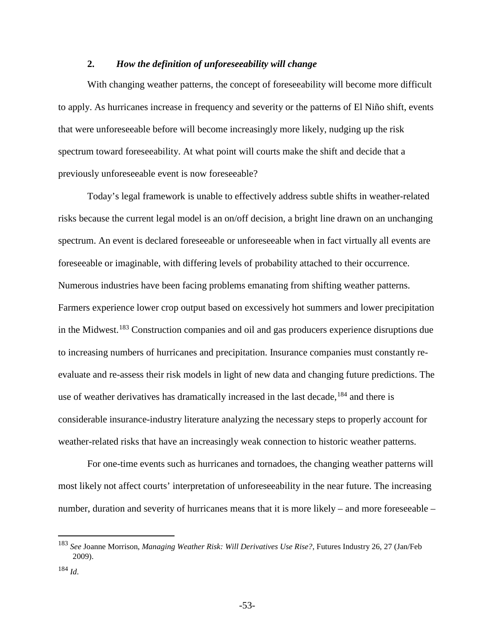# <span id="page-52-0"></span>**2.** *How the definition of unforeseeability will change*

With changing weather patterns, the concept of foreseeability will become more difficult to apply. As hurricanes increase in frequency and severity or the patterns of El Niño shift, events that were unforeseeable before will become increasingly more likely, nudging up the risk spectrum toward foreseeability. At what point will courts make the shift and decide that a previously unforeseeable event is now foreseeable?

Today's legal framework is unable to effectively address subtle shifts in weather-related risks because the current legal model is an on/off decision, a bright line drawn on an unchanging spectrum. An event is declared foreseeable or unforeseeable when in fact virtually all events are foreseeable or imaginable, with differing levels of probability attached to their occurrence. Numerous industries have been facing problems emanating from shifting weather patterns. Farmers experience lower crop output based on excessively hot summers and lower precipitation in the Midwest.<sup>[183](#page-52-1)</sup> Construction companies and oil and gas producers experience disruptions due to increasing numbers of hurricanes and precipitation. Insurance companies must constantly reevaluate and re-assess their risk models in light of new data and changing future predictions. The use of weather derivatives has dramatically increased in the last decade,<sup>[184](#page-52-2)</sup> and there is considerable insurance-industry literature analyzing the necessary steps to properly account for weather-related risks that have an increasingly weak connection to historic weather patterns.

For one-time events such as hurricanes and tornadoes, the changing weather patterns will most likely not affect courts' interpretation of unforeseeability in the near future. The increasing number, duration and severity of hurricanes means that it is more likely – and more foreseeable –

<span id="page-52-1"></span> <sup>183</sup> *See* Joanne Morrison, *Managing Weather Risk: Will Derivatives Use Rise?*, Futures Industry 26, 27 (Jan/Feb 2009).

<span id="page-52-2"></span><sup>184</sup> *Id*.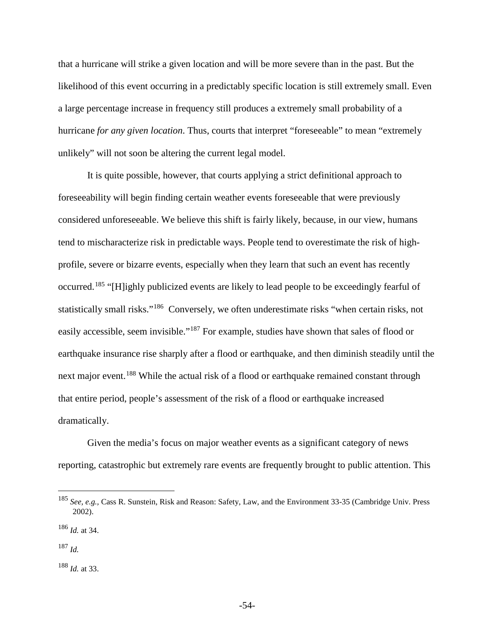that a hurricane will strike a given location and will be more severe than in the past. But the likelihood of this event occurring in a predictably specific location is still extremely small. Even a large percentage increase in frequency still produces a extremely small probability of a hurricane *for any given location*. Thus, courts that interpret "foreseeable" to mean "extremely unlikely" will not soon be altering the current legal model.

It is quite possible, however, that courts applying a strict definitional approach to foreseeability will begin finding certain weather events foreseeable that were previously considered unforeseeable. We believe this shift is fairly likely, because, in our view, humans tend to mischaracterize risk in predictable ways. People tend to overestimate the risk of highprofile, severe or bizarre events, especially when they learn that such an event has recently occurred.[185](#page-53-0) "[H]ighly publicized events are likely to lead people to be exceedingly fearful of statistically small risks."[186](#page-53-1) Conversely, we often underestimate risks "when certain risks, not easily accessible, seem invisible."<sup>[187](#page-53-2)</sup> For example, studies have shown that sales of flood or earthquake insurance rise sharply after a flood or earthquake, and then diminish steadily until the next major event.<sup>[188](#page-53-3)</sup> While the actual risk of a flood or earthquake remained constant through that entire period, people's assessment of the risk of a flood or earthquake increased dramatically.

Given the media's focus on major weather events as a significant category of news reporting, catastrophic but extremely rare events are frequently brought to public attention. This

<span id="page-53-0"></span> <sup>185</sup> *See, e.g.,* Cass R. Sunstein, Risk and Reason: Safety, Law, and the Environment 33-35 (Cambridge Univ. Press 2002).

<span id="page-53-1"></span><sup>186</sup> *Id.* at 34.

<span id="page-53-2"></span><sup>187</sup> *Id.*

<span id="page-53-3"></span><sup>188</sup> *Id.* at 33.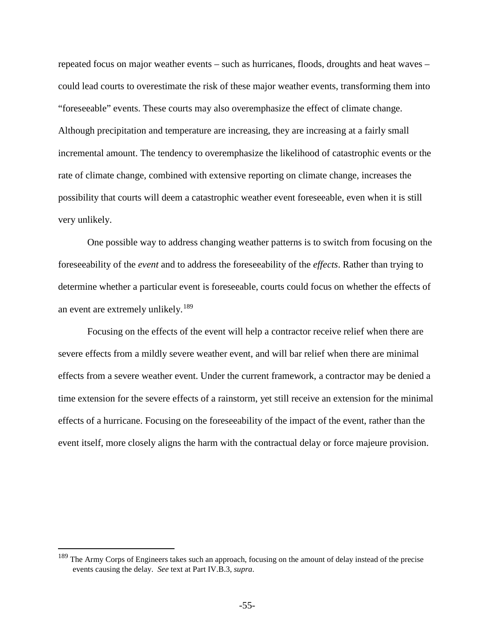repeated focus on major weather events – such as hurricanes, floods, droughts and heat waves – could lead courts to overestimate the risk of these major weather events, transforming them into "foreseeable" events. These courts may also overemphasize the effect of climate change. Although precipitation and temperature are increasing, they are increasing at a fairly small incremental amount. The tendency to overemphasize the likelihood of catastrophic events or the rate of climate change, combined with extensive reporting on climate change, increases the possibility that courts will deem a catastrophic weather event foreseeable, even when it is still very unlikely.

One possible way to address changing weather patterns is to switch from focusing on the foreseeability of the *event* and to address the foreseeability of the *effects*. Rather than trying to determine whether a particular event is foreseeable, courts could focus on whether the effects of an event are extremely unlikely.<sup>[189](#page-54-0)</sup>

Focusing on the effects of the event will help a contractor receive relief when there are severe effects from a mildly severe weather event, and will bar relief when there are minimal effects from a severe weather event. Under the current framework, a contractor may be denied a time extension for the severe effects of a rainstorm, yet still receive an extension for the minimal effects of a hurricane. Focusing on the foreseeability of the impact of the event, rather than the event itself, more closely aligns the harm with the contractual delay or force majeure provision.

<span id="page-54-0"></span><sup>&</sup>lt;sup>189</sup> The Army Corps of Engineers takes such an approach, focusing on the amount of delay instead of the precise events causing the delay. *See* text at Part IV.B.3, *supra*.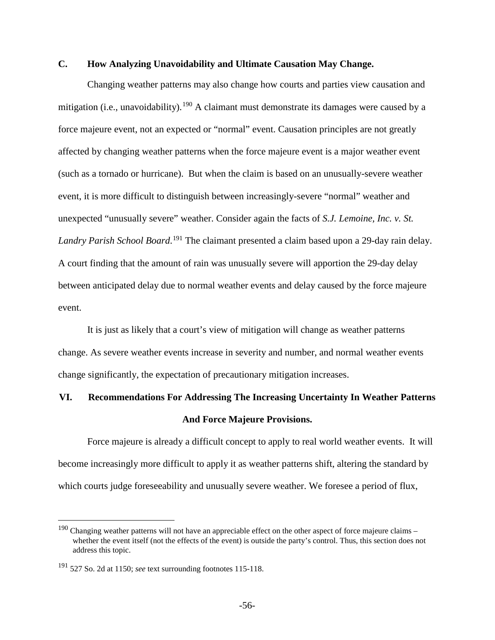# <span id="page-55-0"></span>**C. How Analyzing Unavoidability and Ultimate Causation May Change.**

Changing weather patterns may also change how courts and parties view causation and mitigation (i.e., unavoidability).<sup>[190](#page-55-2)</sup> A claimant must demonstrate its damages were caused by a force majeure event, not an expected or "normal" event. Causation principles are not greatly affected by changing weather patterns when the force majeure event is a major weather event (such as a tornado or hurricane). But when the claim is based on an unusually-severe weather event, it is more difficult to distinguish between increasingly-severe "normal" weather and unexpected "unusually severe" weather. Consider again the facts of *S.J. Lemoine, Inc. v. St. Landry Parish School Board*. [191](#page-55-3) The claimant presented a claim based upon a 29-day rain delay. A court finding that the amount of rain was unusually severe will apportion the 29-day delay between anticipated delay due to normal weather events and delay caused by the force majeure event.

It is just as likely that a court's view of mitigation will change as weather patterns change. As severe weather events increase in severity and number, and normal weather events change significantly, the expectation of precautionary mitigation increases.

# <span id="page-55-1"></span>**VI. Recommendations For Addressing The Increasing Uncertainty In Weather Patterns And Force Majeure Provisions.**

Force majeure is already a difficult concept to apply to real world weather events. It will become increasingly more difficult to apply it as weather patterns shift, altering the standard by which courts judge foreseeability and unusually severe weather. We foresee a period of flux,

<span id="page-55-2"></span><sup>&</sup>lt;sup>190</sup> Changing weather patterns will not have an appreciable effect on the other aspect of force majeure claims – whether the event itself (not the effects of the event) is outside the party's control. Thus, this section does not address this topic.

<span id="page-55-3"></span><sup>191</sup> 527 So. 2d at 1150; *see* text surrounding footnote[s 115](#page-30-4)[-118.](#page-31-5)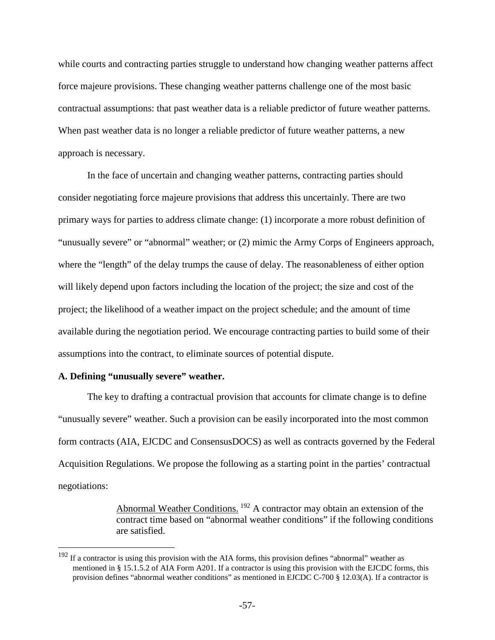while courts and contracting parties struggle to understand how changing weather patterns affect force majeure provisions. These changing weather patterns challenge one of the most basic contractual assumptions: that past weather data is a reliable predictor of future weather patterns. When past weather data is no longer a reliable predictor of future weather patterns, a new approach is necessary.

In the face of uncertain and changing weather patterns, contracting parties should consider negotiating force majeure provisions that address this uncertainly. There are two primary ways for parties to address climate change: (1) incorporate a more robust definition of "unusually severe" or "abnormal" weather; or (2) mimic the Army Corps of Engineers approach, where the "length" of the delay trumps the cause of delay. The reasonableness of either option will likely depend upon factors including the location of the project; the size and cost of the project; the likelihood of a weather impact on the project schedule; and the amount of time available during the negotiation period. We encourage contracting parties to build some of their assumptions into the contract, to eliminate sources of potential dispute.

#### <span id="page-56-0"></span>**A. Defining "unusually severe" weather.**

The key to drafting a contractual provision that accounts for climate change is to define "unusually severe" weather. Such a provision can be easily incorporated into the most common form contracts (AIA, EJCDC and ConsensusDOCS) as well as contracts governed by the Federal Acquisition Regulations. We propose the following as a starting point in the parties' contractual negotiations:

> Abnormal Weather Conditions. <sup>[192](#page-56-1)</sup> A contractor may obtain an extension of the contract time based on "abnormal weather conditions" if the following conditions are satisfied.

<span id="page-56-1"></span> $192$  If a contractor is using this provision with the AIA forms, this provision defines "abnormal" weather as mentioned in § 15.1.5.2 of AIA Form A201. If a contractor is using this provision with the EJCDC forms, this provision defines "abnormal weather conditions" as mentioned in EJCDC C-700 § 12.03(A). If a contractor is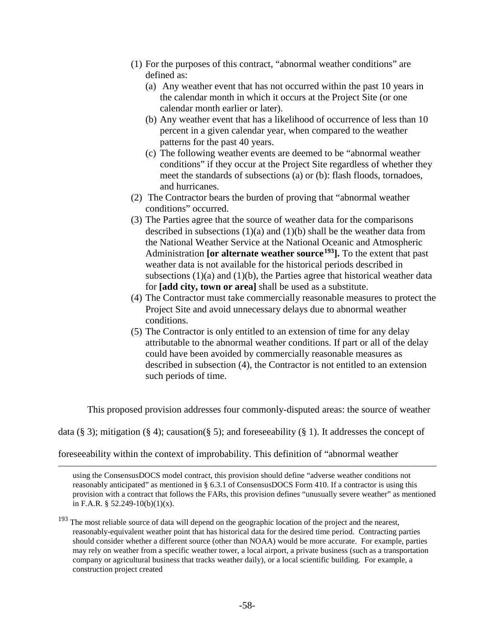- (1) For the purposes of this contract, "abnormal weather conditions" are defined as:
	- (a) Any weather event that has not occurred within the past 10 years in the calendar month in which it occurs at the Project Site (or one calendar month earlier or later).
	- (b) Any weather event that has a likelihood of occurrence of less than 10 percent in a given calendar year, when compared to the weather patterns for the past 40 years.
	- (c) The following weather events are deemed to be "abnormal weather conditions" if they occur at the Project Site regardless of whether they meet the standards of subsections (a) or (b): flash floods, tornadoes, and hurricanes.
- (2) The Contractor bears the burden of proving that "abnormal weather conditions" occurred.
- <span id="page-57-1"></span>(3) The Parties agree that the source of weather data for the comparisons described in subsections  $(1)(a)$  and  $(1)(b)$  shall be the weather data from the National Weather Service at the National Oceanic and Atmospheric Administration **[or alternate weather source[193](#page-57-0)].** To the extent that past weather data is not available for the historical periods described in subsections  $(1)(a)$  and  $(1)(b)$ , the Parties agree that historical weather data for **[add city, town or area]** shall be used as a substitute.
- (4) The Contractor must take commercially reasonable measures to protect the Project Site and avoid unnecessary delays due to abnormal weather conditions.
- (5) The Contractor is only entitled to an extension of time for any delay attributable to the abnormal weather conditions. If part or all of the delay could have been avoided by commercially reasonable measures as described in subsection (4), the Contractor is not entitled to an extension such periods of time.

This proposed provision addresses four commonly-disputed areas: the source of weather

data (§ 3); mitigation (§ 4); causation (§ 5); and foreseeability (§ 1). It addresses the concept of

#### foreseeability within the context of improbability. This definition of "abnormal weather

 $\overline{a}$ 

using the ConsensusDOCS model contract, this provision should define "adverse weather conditions not reasonably anticipated" as mentioned in § 6.3.1 of ConsensusDOCS Form 410. If a contractor is using this provision with a contract that follows the FARs, this provision defines "unusually severe weather" as mentioned in F.A.R.  $\S$  52.249-10(b)(1)(x).

<span id="page-57-0"></span><sup>&</sup>lt;sup>193</sup> The most reliable source of data will depend on the geographic location of the project and the nearest, reasonably-equivalent weather point that has historical data for the desired time period. Contracting parties should consider whether a different source (other than NOAA) would be more accurate. For example, parties may rely on weather from a specific weather tower, a local airport, a private business (such as a transportation company or agricultural business that tracks weather daily), or a local scientific building. For example, a construction project created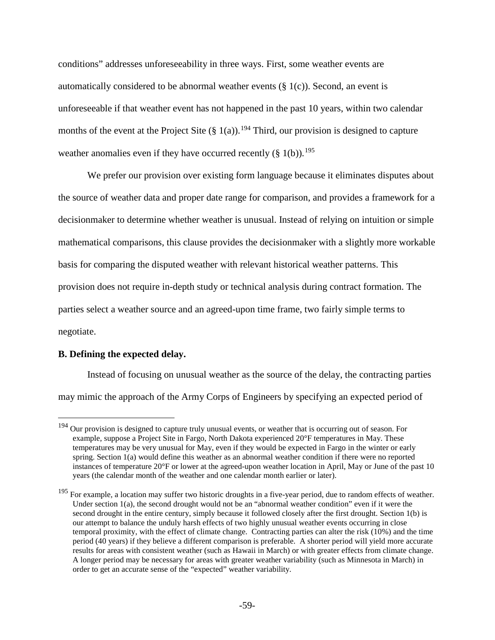conditions" addresses unforeseeability in three ways. First, some weather events are automatically considered to be abnormal weather events  $(\S 1(c))$ . Second, an event is unforeseeable if that weather event has not happened in the past 10 years, within two calendar months of the event at the Project Site  $(\S 1(a))$ .<sup>[194](#page-58-1)</sup> Third, our provision is designed to capture weather anomalies even if they have occurred recently  $(\S 1(b))$ .<sup>[195](#page-58-2)</sup>

We prefer our provision over existing form language because it eliminates disputes about the source of weather data and proper date range for comparison, and provides a framework for a decisionmaker to determine whether weather is unusual. Instead of relying on intuition or simple mathematical comparisons, this clause provides the decisionmaker with a slightly more workable basis for comparing the disputed weather with relevant historical weather patterns. This provision does not require in-depth study or technical analysis during contract formation. The parties select a weather source and an agreed-upon time frame, two fairly simple terms to negotiate.

# <span id="page-58-0"></span>**B. Defining the expected delay.**

Instead of focusing on unusual weather as the source of the delay, the contracting parties may mimic the approach of the Army Corps of Engineers by specifying an expected period of

<span id="page-58-1"></span><sup>&</sup>lt;sup>194</sup> Our provision is designed to capture truly unusual events, or weather that is occurring out of season. For example, suppose a Project Site in Fargo, North Dakota experienced 20°F temperatures in May. These temperatures may be very unusual for May, even if they would be expected in Fargo in the winter or early spring. Section 1(a) would define this weather as an abnormal weather condition if there were no reported instances of temperature 20°F or lower at the agreed-upon weather location in April, May or June of the past 10 years (the calendar month of the weather and one calendar month earlier or later).

<span id="page-58-2"></span><sup>&</sup>lt;sup>195</sup> For example, a location may suffer two historic droughts in a five-year period, due to random effects of weather. Under section 1(a), the second drought would not be an "abnormal weather condition" even if it were the second drought in the entire century, simply because it followed closely after the first drought. Section 1(b) is our attempt to balance the unduly harsh effects of two highly unusual weather events occurring in close temporal proximity, with the effect of climate change. Contracting parties can alter the risk (10%) and the time period (40 years) if they believe a different comparison is preferable. A shorter period will yield more accurate results for areas with consistent weather (such as Hawaii in March) or with greater effects from climate change. A longer period may be necessary for areas with greater weather variability (such as Minnesota in March) in order to get an accurate sense of the "expected" weather variability.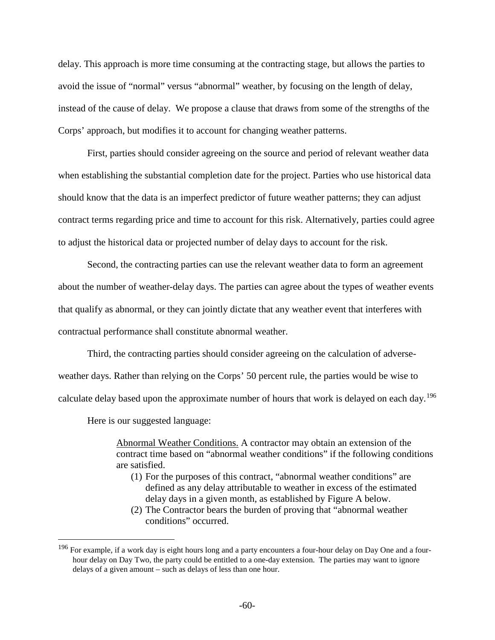delay. This approach is more time consuming at the contracting stage, but allows the parties to avoid the issue of "normal" versus "abnormal" weather, by focusing on the length of delay, instead of the cause of delay. We propose a clause that draws from some of the strengths of the Corps' approach, but modifies it to account for changing weather patterns.

First, parties should consider agreeing on the source and period of relevant weather data when establishing the substantial completion date for the project. Parties who use historical data should know that the data is an imperfect predictor of future weather patterns; they can adjust contract terms regarding price and time to account for this risk. Alternatively, parties could agree to adjust the historical data or projected number of delay days to account for the risk.

Second, the contracting parties can use the relevant weather data to form an agreement about the number of weather-delay days. The parties can agree about the types of weather events that qualify as abnormal, or they can jointly dictate that any weather event that interferes with contractual performance shall constitute abnormal weather.

Third, the contracting parties should consider agreeing on the calculation of adverseweather days. Rather than relying on the Corps' 50 percent rule, the parties would be wise to calculate delay based upon the approximate number of hours that work is delayed on each day.<sup>[196](#page-59-0)</sup>

Here is our suggested language:

Abnormal Weather Conditions. A contractor may obtain an extension of the contract time based on "abnormal weather conditions" if the following conditions are satisfied.

- (1) For the purposes of this contract, "abnormal weather conditions" are defined as any delay attributable to weather in excess of the estimated delay days in a given month, as established by Figure A below.
- (2) The Contractor bears the burden of proving that "abnormal weather conditions" occurred.

<span id="page-59-0"></span> $196$  For example, if a work day is eight hours long and a party encounters a four-hour delay on Day One and a fourhour delay on Day Two, the party could be entitled to a one-day extension. The parties may want to ignore delays of a given amount – such as delays of less than one hour.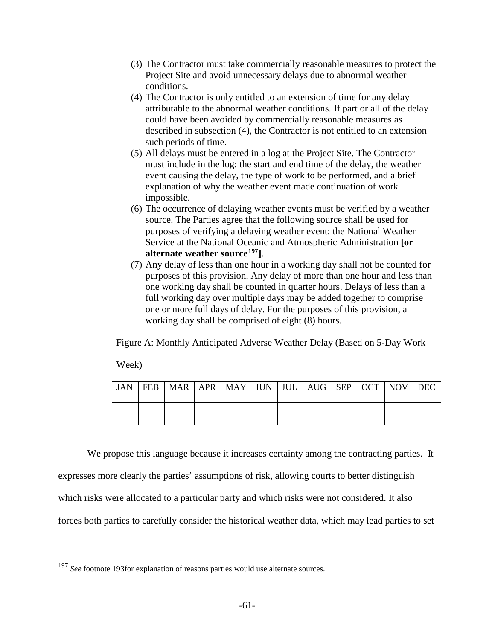- (3) The Contractor must take commercially reasonable measures to protect the Project Site and avoid unnecessary delays due to abnormal weather conditions.
- (4) The Contractor is only entitled to an extension of time for any delay attributable to the abnormal weather conditions. If part or all of the delay could have been avoided by commercially reasonable measures as described in subsection (4), the Contractor is not entitled to an extension such periods of time.
- (5) All delays must be entered in a log at the Project Site. The Contractor must include in the log: the start and end time of the delay, the weather event causing the delay, the type of work to be performed, and a brief explanation of why the weather event made continuation of work impossible.
- (6) The occurrence of delaying weather events must be verified by a weather source. The Parties agree that the following source shall be used for purposes of verifying a delaying weather event: the National Weather Service at the National Oceanic and Atmospheric Administration **[or alternate weather source[197](#page-60-0)]**.
- (7) Any delay of less than one hour in a working day shall not be counted for purposes of this provision. Any delay of more than one hour and less than one working day shall be counted in quarter hours. Delays of less than a full working day over multiple days may be added together to comprise one or more full days of delay. For the purposes of this provision, a working day shall be comprised of eight (8) hours.

Figure A: Monthly Anticipated Adverse Weather Delay (Based on 5-Day Work

Week)

| JAN |  | FEB   MAR   APR   MAY   JUN   JUL   AUG   SEP   OCT   NOV   DEC |  |  |  |  |
|-----|--|-----------------------------------------------------------------|--|--|--|--|
|     |  |                                                                 |  |  |  |  |

We propose this language because it increases certainty among the contracting parties. It

expresses more clearly the parties' assumptions of risk, allowing courts to better distinguish

which risks were allocated to a particular party and which risks were not considered. It also

forces both parties to carefully consider the historical weather data, which may lead parties to set

<span id="page-60-0"></span> <sup>197</sup> *See* footnot[e 193f](#page-57-1)or explanation of reasons parties would use alternate sources.